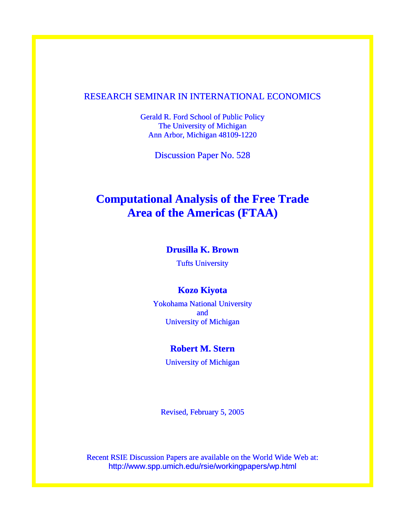# RESEARCH SEMINAR IN INTERNATIONAL ECONOMICS

Gerald R. Ford School of Public Policy The University of Michigan Ann Arbor, Michigan 48109-1220

Discussion Paper No. 528

# **Computational Analysis of the Free Trade Area of the Americas (FTAA)**

# **Drusilla K. Brown**

Tufts University

# **Kozo Kiyota**

Yokohama National University and University of Michigan

# **Robert M. Stern**

University of Michigan

Revised, February 5, 2005

Recent RSIE Discussion Papers are available on the World Wide Web at: http://www.spp.umich.edu/rsie/workingpapers/wp.html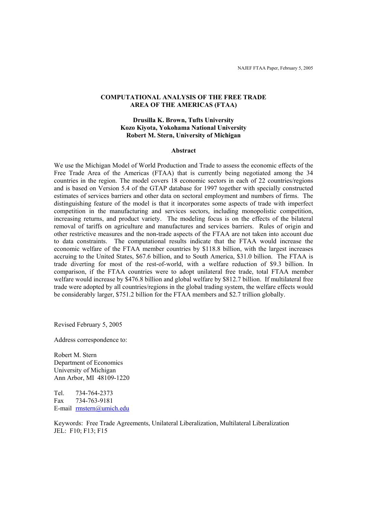## **COMPUTATIONAL ANALYSIS OF THE FREE TRADE AREA OF THE AMERICAS (FTAA)**

### **Drusilla K. Brown, Tufts University Kozo Kiyota, Yokohama National University Robert M. Stern, University of Michigan**

#### **Abstract**

We use the Michigan Model of World Production and Trade to assess the economic effects of the Free Trade Area of the Americas (FTAA) that is currently being negotiated among the 34 countries in the region. The model covers 18 economic sectors in each of 22 countries/regions and is based on Version 5.4 of the GTAP database for 1997 together with specially constructed estimates of services barriers and other data on sectoral employment and numbers of firms. The distinguishing feature of the model is that it incorporates some aspects of trade with imperfect competition in the manufacturing and services sectors, including monopolistic competition, increasing returns, and product variety. The modeling focus is on the effects of the bilateral removal of tariffs on agriculture and manufactures and services barriers. Rules of origin and other restrictive measures and the non-trade aspects of the FTAA are not taken into account due to data constraints. The computational results indicate that the FTAA would increase the economic welfare of the FTAA member countries by \$118.8 billion, with the largest increases accruing to the United States, \$67.6 billion, and to South America, \$31.0 billion. The FTAA is trade diverting for most of the rest-of-world, with a welfare reduction of \$9.3 billion. In comparison, if the FTAA countries were to adopt unilateral free trade, total FTAA member welfare would increase by \$476.8 billion and global welfare by \$812.7 billion. If multilateral free trade were adopted by all countries/regions in the global trading system, the welfare effects would be considerably larger, \$751.2 billion for the FTAA members and \$2.7 trillion globally.

Revised February 5, 2005

Address correspondence to:

Robert M. Stern Department of Economics University of Michigan Ann Arbor, MI 48109-1220

Tel. 734-764-2373 Fax 734-763-9181 E-mail rmstern@umich.edu

Keywords: Free Trade Agreements, Unilateral Liberalization, Multilateral Liberalization JEL: F10; F13; F15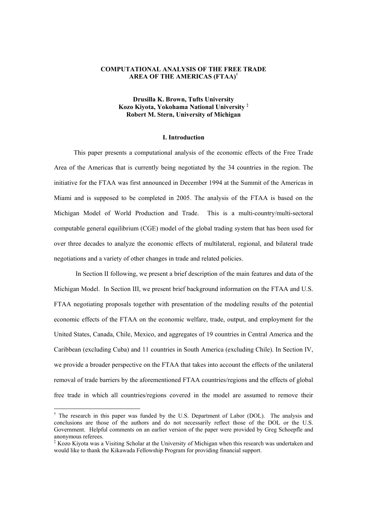## **COMPUTATIONAL ANALYSIS OF THE FREE TRADE AREA OF THE AMERICAS (FTAA)<sup>Ü</sup>**

## **Drusilla K. Brown, Tufts University Kozo Kiyota, Yokohama National University á Robert M. Stern, University of Michigan**

#### **I. Introduction**

This paper presents a computational analysis of the economic effects of the Free Trade Area of the Americas that is currently being negotiated by the 34 countries in the region. The initiative for the FTAA was first announced in December 1994 at the Summit of the Americas in Miami and is supposed to be completed in 2005. The analysis of the FTAA is based on the Michigan Model of World Production and Trade. This is a multi-country/multi-sectoral computable general equilibrium (CGE) model of the global trading system that has been used for over three decades to analyze the economic effects of multilateral, regional, and bilateral trade negotiations and a variety of other changes in trade and related policies.

In Section II following, we present a brief description of the main features and data of the Michigan Model. In Section III, we present brief background information on the FTAA and U.S. FTAA negotiating proposals together with presentation of the modeling results of the potential economic effects of the FTAA on the economic welfare, trade, output, and employment for the United States, Canada, Chile, Mexico, and aggregates of 19 countries in Central America and the Caribbean (excluding Cuba) and 11 countries in South America (excluding Chile). In Section IV, we provide a broader perspective on the FTAA that takes into account the effects of the unilateral removal of trade barriers by the aforementioned FTAA countries/regions and the effects of global free trade in which all countries/regions covered in the model are assumed to remove their

 $\overline{a}$ 

<sup>&</sup>lt;sup>†</sup> The research in this paper was funded by the U.S. Department of Labor (DOL). The analysis and conclusions are those of the authors and do not necessarily reflect those of the DOL or the U.S. Government. Helpful comments on an earlier version of the paper were provided by Greg Schoepfle and anonymous referees.

á Kozo Kiyota was a Visiting Scholar at the University of Michigan when this research was undertaken and would like to thank the Kikawada Fellowship Program for providing financial support.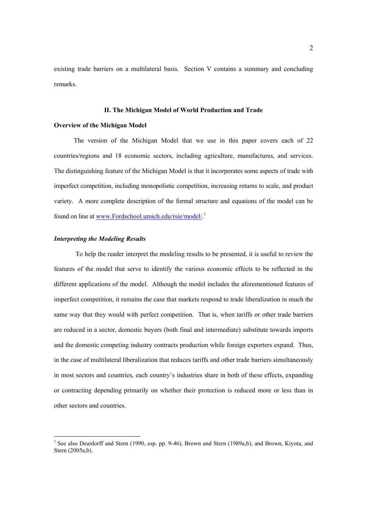existing trade barriers on a multilateral basis. Section V contains a summary and concluding remarks.

#### **II. The Michigan Model of World Production and Trade**

#### **Overview of the Michigan Model**

The version of the Michigan Model that we use in this paper covers each of 22 countries/regions and 18 economic sectors, including agriculture, manufactures, and services. The distinguishing feature of the Michigan Model is that it incorporates some aspects of trade with imperfect competition, including monopolistic competition, increasing returns to scale, and product variety. A more complete description of the formal structure and equations of the model can be found on line at www.Fordschool.umich.edu/rsie/model/.<sup>1</sup>

#### *Interpreting the Modeling Results*

To help the reader interpret the modeling results to be presented, it is useful to review the features of the model that serve to identify the various economic effects to be reflected in the different applications of the model. Although the model includes the aforementioned features of imperfect competition, it remains the case that markets respond to trade liberalization in much the same way that they would with perfect competition. That is, when tariffs or other trade barriers are reduced in a sector, domestic buyers (both final and intermediate) substitute towards imports and the domestic competing industry contracts production while foreign exporters expand. Thus, in the case of multilateral liberalization that reduces tariffs and other trade barriers simultaneously in most sectors and countries, each country's industries share in both of these effects, expanding or contracting depending primarily on whether their protection is reduced more or less than in other sectors and countries.

<sup>&</sup>lt;sup>1</sup> See also Deardorff and Stern (1990, esp. pp. 9-46), Brown and Stern (1989a,b), and Brown, Kiyota, and Stern (2005a,b).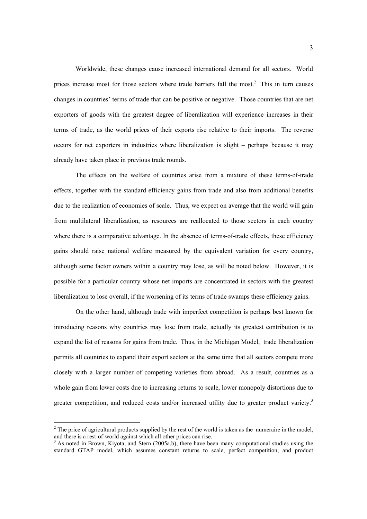Worldwide, these changes cause increased international demand for all sectors. World prices increase most for those sectors where trade barriers fall the most.<sup>2</sup> This in turn causes changes in countries' terms of trade that can be positive or negative. Those countries that are net exporters of goods with the greatest degree of liberalization will experience increases in their terms of trade, as the world prices of their exports rise relative to their imports. The reverse occurs for net exporters in industries where liberalization is slight  $-$  perhaps because it may already have taken place in previous trade rounds.

 The effects on the welfare of countries arise from a mixture of these terms-of-trade effects, together with the standard efficiency gains from trade and also from additional benefits due to the realization of economies of scale. Thus, we expect on average that the world will gain from multilateral liberalization, as resources are reallocated to those sectors in each country where there is a comparative advantage. In the absence of terms-of-trade effects, these efficiency gains should raise national welfare measured by the equivalent variation for every country, although some factor owners within a country may lose, as will be noted below. However, it is possible for a particular country whose net imports are concentrated in sectors with the greatest liberalization to lose overall, if the worsening of its terms of trade swamps these efficiency gains.

 On the other hand, although trade with imperfect competition is perhaps best known for introducing reasons why countries may lose from trade, actually its greatest contribution is to expand the list of reasons for gains from trade. Thus, in the Michigan Model, trade liberalization permits all countries to expand their export sectors at the same time that all sectors compete more closely with a larger number of competing varieties from abroad. As a result, countries as a whole gain from lower costs due to increasing returns to scale, lower monopoly distortions due to greater competition, and reduced costs and/or increased utility due to greater product variety.<sup>3</sup>

<sup>&</sup>lt;sup>2</sup> The price of agricultural products supplied by the rest of the world is taken as the numeraire in the model, and there is a rest-of-world against which all other prices can rise.

<sup>&</sup>lt;sup>3</sup> As noted in Brown, Kiyota, and Stern (2005a,b), there have been many computational studies using the standard GTAP model, which assumes constant returns to scale, perfect competition, and product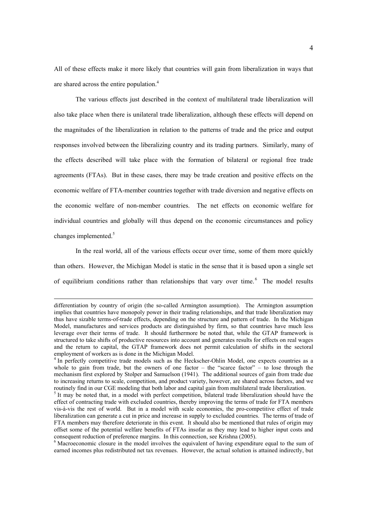All of these effects make it more likely that countries will gain from liberalization in ways that are shared across the entire population.4

 The various effects just described in the context of multilateral trade liberalization will also take place when there is unilateral trade liberalization, although these effects will depend on the magnitudes of the liberalization in relation to the patterns of trade and the price and output responses involved between the liberalizing country and its trading partners. Similarly, many of the effects described will take place with the formation of bilateral or regional free trade agreements (FTAs). But in these cases, there may be trade creation and positive effects on the economic welfare of FTA-member countries together with trade diversion and negative effects on the economic welfare of non-member countries. The net effects on economic welfare for individual countries and globally will thus depend on the economic circumstances and policy changes implemented.<sup>5</sup>

In the real world, all of the various effects occur over time, some of them more quickly than others. However, the Michigan Model is static in the sense that it is based upon a single set of equilibrium conditions rather than relationships that vary over time.  $6$  The model results

<sup>6</sup> Macroeconomic closure in the model involves the equivalent of having expenditure equal to the sum of earned incomes plus redistributed net tax revenues. However, the actual solution is attained indirectly, but

differentiation by country of origin (the so-called Armington assumption). The Armington assumption implies that countries have monopoly power in their trading relationships, and that trade liberalization may thus have sizable terms-of-trade effects, depending on the structure and pattern of trade. In the Michigan Model, manufactures and services products are distinguished by firm, so that countries have much less leverage over their terms of trade. It should furthermore be noted that, while the GTAP framework is structured to take shifts of productive resources into account and generates results for effects on real wages and the return to capital, the GTAP framework does not permit calculation of shifts in the sectoral employment of workers as is done in the Michigan Model.

<sup>&</sup>lt;sup>4</sup> In perfectly competitive trade models such as the Heckscher-Ohlin Model, one expects countries as a whole to gain from trade, but the owners of one factor – the "scarce factor" – to lose through the mechanism first explored by Stolper and Samuelson (1941). The additional sources of gain from trade due to increasing returns to scale, competition, and product variety, however, are shared across factors, and we routinely find in our CGE modeling that both labor and capital gain from multilateral trade liberalization.

<sup>&</sup>lt;sup>5</sup> It may be noted that, in a model with perfect competition, bilateral trade liberalization should have the effect of contracting trade with excluded countries, thereby improving the terms of trade for FTA members vis-‡-vis the rest of world. But in a model with scale economies, the pro-competitive effect of trade liberalization can generate a cut in price and increase in supply to excluded countries. The terms of trade of FTA members may therefore deteriorate in this event. It should also be mentioned that rules of origin may offset some of the potential welfare benefits of FTAs insofar as they may lead to higher input costs and consequent reduction of preference margins. In this connection, see Krishna (2005).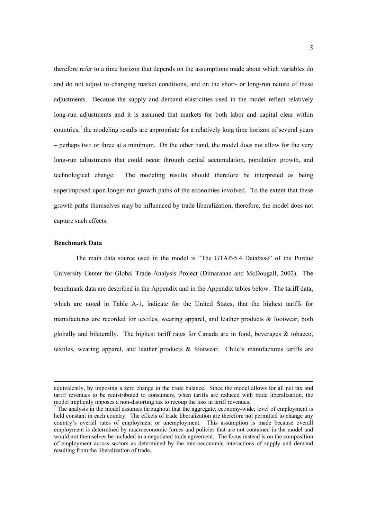therefore refer to a time horizon that depends on the assumptions made about which variables do and do not adjust to changing market conditions, and on the short- or long-run nature of these adjustments. Because the supply and demand elasticities used in the model reflect relatively long-run adjustments and it is assumed that markets for both labor and capital clear within countries,<sup>7</sup> the modeling results are appropriate for a relatively long time horizon of several years – perhaps two or three at a minimum. On the other hand, the model does not allow for the very long-run adjustments that could occur through capital accumulation, population growth, and technological change. The modeling results should therefore be interpreted as being superimposed upon longer-run growth paths of the economies involved. To the extent that these growth paths themselves may be influenced by trade liberalization, therefore, the model does not capture such effects.

#### **Benchmark Data**

The main data source used in the model is "The GTAP-5.4 Database" of the Purdue University Center for Global Trade Analysis Project (Dimaranan and McDougall, 2002). The benchmark data are described in the Appendix and in the Appendix tables below. The tariff data, which are noted in Table A-1, indicate for the United States, that the highest tariffs for manufactures are recorded for textiles, wearing apparel, and leather products & footwear, both globally and bilaterally. The highest tariff rates for Canada are in food, beverages & tobacco, textiles, wearing apparel, and leather products  $\&$  footwear. Chile's manufactures tariffs are

equivalently, by imposing a zero change in the trade balance. Since the model allows for all net tax and tariff revenues to be redistributed to consumers, when tariffs are reduced with trade liberalization, the model implicitly imposes a non-distorting tax to recoup the loss in tariff revenues.

<sup>&</sup>lt;sup>7</sup> The analysis in the model assumes throughout that the aggregate, economy-wide, level of employment is held constant in each country. The effects of trade liberalization are therefore not permitted to change any countryís overall rates of employment or unemployment. This assumption is made because overall employment is determined by macroeconomic forces and policies that are not contained in the model and would not themselves be included in a negotiated trade agreement. The focus instead is on the composition of employment across sectors as determined by the microeconomic interactions of supply and demand resulting from the liberalization of trade.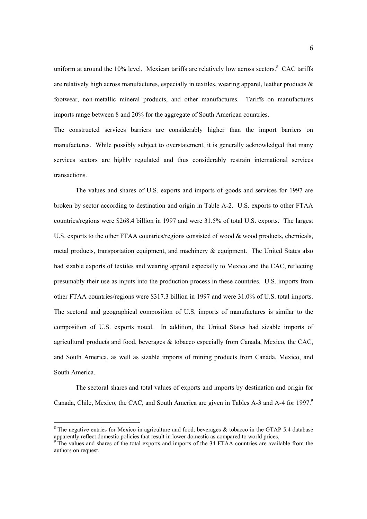uniform at around the  $10\%$  level. Mexican tariffs are relatively low across sectors.<sup>8</sup> CAC tariffs are relatively high across manufactures, especially in textiles, wearing apparel, leather products & footwear, non-metallic mineral products, and other manufactures. Tariffs on manufactures imports range between 8 and 20% for the aggregate of South American countries.

The constructed services barriers are considerably higher than the import barriers on manufactures. While possibly subject to overstatement, it is generally acknowledged that many services sectors are highly regulated and thus considerably restrain international services transactions.

 The values and shares of U.S. exports and imports of goods and services for 1997 are broken by sector according to destination and origin in Table A-2. U.S. exports to other FTAA countries/regions were \$268.4 billion in 1997 and were 31.5% of total U.S. exports. The largest U.S. exports to the other FTAA countries/regions consisted of wood  $\&$  wood products, chemicals, metal products, transportation equipment, and machinery & equipment. The United States also had sizable exports of textiles and wearing apparel especially to Mexico and the CAC, reflecting presumably their use as inputs into the production process in these countries. U.S. imports from other FTAA countries/regions were \$317.3 billion in 1997 and were 31.0% of U.S. total imports. The sectoral and geographical composition of U.S. imports of manufactures is similar to the composition of U.S. exports noted. In addition, the United States had sizable imports of agricultural products and food, beverages & tobacco especially from Canada, Mexico, the CAC, and South America, as well as sizable imports of mining products from Canada, Mexico, and South America.

 The sectoral shares and total values of exports and imports by destination and origin for Canada, Chile, Mexico, the CAC, and South America are given in Tables A-3 and A-4 for 1997.<sup>9</sup>

<sup>&</sup>lt;sup>8</sup> The negative entries for Mexico in agriculture and food, beverages  $\&$  tobacco in the GTAP 5.4 database apparently reflect domestic policies that result in lower domestic as compared to world prices.<br><sup>9</sup> The values and shares of the total experts and imports of the 24 ETAA equation are evailed

The values and shares of the total exports and imports of the 34 FTAA countries are available from the authors on request.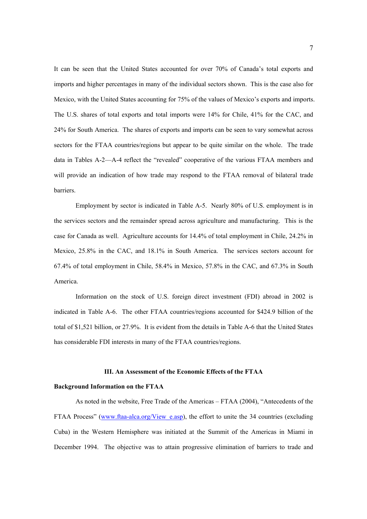It can be seen that the United States accounted for over 70% of Canada's total exports and imports and higher percentages in many of the individual sectors shown. This is the case also for Mexico, with the United States accounting for 75% of the values of Mexico's exports and imports. The U.S. shares of total exports and total imports were 14% for Chile, 41% for the CAC, and 24% for South America. The shares of exports and imports can be seen to vary somewhat across sectors for the FTAA countries/regions but appear to be quite similar on the whole. The trade data in Tables A-2—A-4 reflect the "revealed" cooperative of the various FTAA members and will provide an indication of how trade may respond to the FTAA removal of bilateral trade barriers.

 Employment by sector is indicated in Table A-5. Nearly 80% of U.S. employment is in the services sectors and the remainder spread across agriculture and manufacturing. This is the case for Canada as well. Agriculture accounts for 14.4% of total employment in Chile, 24.2% in Mexico, 25.8% in the CAC, and 18.1% in South America. The services sectors account for 67.4% of total employment in Chile, 58.4% in Mexico, 57.8% in the CAC, and 67.3% in South America.

 Information on the stock of U.S. foreign direct investment (FDI) abroad in 2002 is indicated in Table A-6. The other FTAA countries/regions accounted for \$424.9 billion of the total of \$1,521 billion, or 27.9%. It is evident from the details in Table A-6 that the United States has considerable FDI interests in many of the FTAA countries/regions.

#### **III. An Assessment of the Economic Effects of the FTAA**

#### **Background Information on the FTAA**

As noted in the website, Free Trade of the Americas  $-$  FTAA (2004), "Antecedents of the FTAA Process" (www.ftaa-alca.org/View\_e.asp), the effort to unite the 34 countries (excluding Cuba) in the Western Hemisphere was initiated at the Summit of the Americas in Miami in December 1994. The objective was to attain progressive elimination of barriers to trade and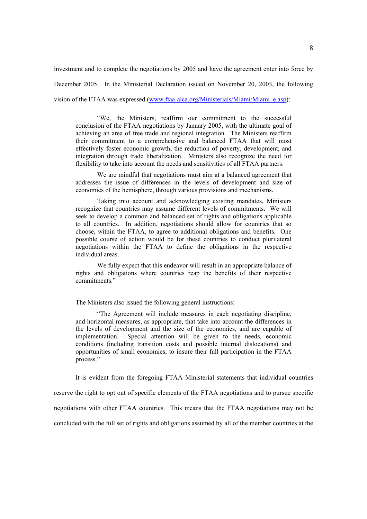investment and to complete the negotiations by 2005 and have the agreement enter into force by

December 2005. In the Ministerial Declaration issued on November 20, 2003, the following vision of the FTAA was expressed (www.ftaa-alca.org/Ministerials/Miami/Miami\_e.asp):

 ìWe, the Ministers, reaffirm our commitment to the successful conclusion of the FTAA negotiations by January 2005, with the ultimate goal of achieving an area of free trade and regional integration. The Ministers reaffirm their commitment to a comprehensive and balanced FTAA that will most effectively foster economic growth, the reduction of poverty, development, and integration through trade liberalization. Ministers also recognize the need for flexibility to take into account the needs and sensitivities of all FTAA partners.

 We are mindful that negotiations must aim at a balanced agreement that addresses the issue of differences in the levels of development and size of economies of the hemisphere, through various provisions and mechanisms.

 Taking into account and acknowledging existing mandates, Ministers recognize that countries may assume different levels of commitments. We will seek to develop a common and balanced set of rights and obligations applicable to all countries. In addition, negotiations should allow for countries that so choose, within the FTAA, to agree to additional obligations and benefits. One possible course of action would be for these countries to conduct plurilateral negotiations within the FTAA to define the obligations in the respective individual areas.

 We fully expect that this endeavor will result in an appropriate balance of rights and obligations where countries reap the benefits of their respective commitments."

The Ministers also issued the following general instructions:

 ìThe Agreement will include measures in each negotiating discipline, and horizontal measures, as appropriate, that take into account the differences in the levels of development and the size of the economies, and are capable of implementation. Special attention will be given to the needs, economic conditions (including transition costs and possible internal dislocations) and opportunities of small economies, to insure their full participation in the FTAA process."

It is evident from the foregoing FTAA Ministerial statements that individual countries

reserve the right to opt out of specific elements of the FTAA negotiations and to pursue specific negotiations with other FTAA countries. This means that the FTAA negotiations may not be concluded with the full set of rights and obligations assumed by all of the member countries at the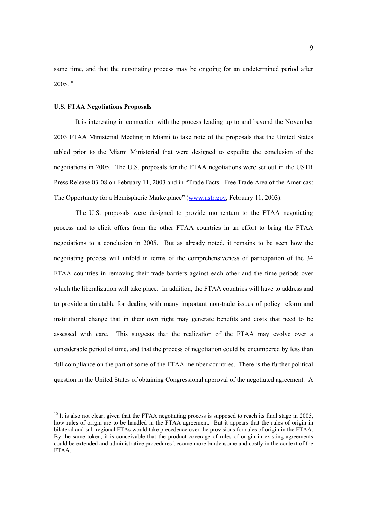same time, and that the negotiating process may be ongoing for an undetermined period after 2005.10

#### **U.S. FTAA Negotiations Proposals**

 $\overline{a}$ 

 It is interesting in connection with the process leading up to and beyond the November 2003 FTAA Ministerial Meeting in Miami to take note of the proposals that the United States tabled prior to the Miami Ministerial that were designed to expedite the conclusion of the negotiations in 2005. The U.S. proposals for the FTAA negotiations were set out in the USTR Press Release 03-08 on February 11, 2003 and in "Trade Facts. Free Trade Area of the Americas: The Opportunity for a Hemispheric Marketplace" (www.ustr.gov, February 11, 2003).

 The U.S. proposals were designed to provide momentum to the FTAA negotiating process and to elicit offers from the other FTAA countries in an effort to bring the FTAA negotiations to a conclusion in 2005. But as already noted, it remains to be seen how the negotiating process will unfold in terms of the comprehensiveness of participation of the 34 FTAA countries in removing their trade barriers against each other and the time periods over which the liberalization will take place. In addition, the FTAA countries will have to address and to provide a timetable for dealing with many important non-trade issues of policy reform and institutional change that in their own right may generate benefits and costs that need to be assessed with care. This suggests that the realization of the FTAA may evolve over a considerable period of time, and that the process of negotiation could be encumbered by less than full compliance on the part of some of the FTAA member countries. There is the further political question in the United States of obtaining Congressional approval of the negotiated agreement. A

<sup>&</sup>lt;sup>10</sup> It is also not clear, given that the FTAA negotiating process is supposed to reach its final stage in 2005, how rules of origin are to be handled in the FTAA agreement. But it appears that the rules of origin in bilateral and sub-regional FTAs would take precedence over the provisions for rules of origin in the FTAA. By the same token, it is conceivable that the product coverage of rules of origin in existing agreements could be extended and administrative procedures become more burdensome and costly in the context of the FTAA.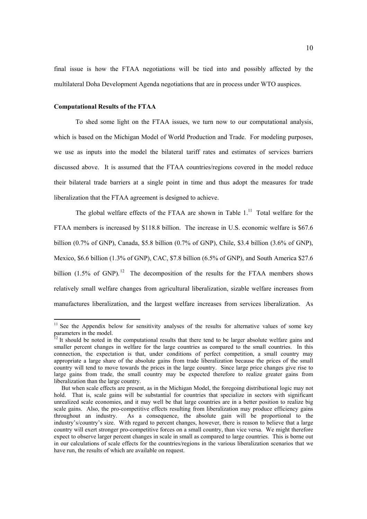final issue is how the FTAA negotiations will be tied into and possibly affected by the multilateral Doha Development Agenda negotiations that are in process under WTO auspices.

## **Computational Results of the FTAA**

To shed some light on the FTAA issues, we turn now to our computational analysis, which is based on the Michigan Model of World Production and Trade. For modeling purposes, we use as inputs into the model the bilateral tariff rates and estimates of services barriers discussed above. It is assumed that the FTAA countries/regions covered in the model reduce their bilateral trade barriers at a single point in time and thus adopt the measures for trade liberalization that the FTAA agreement is designed to achieve.

The global welfare effects of the FTAA are shown in Table  $1<sup>11</sup>$  Total welfare for the FTAA members is increased by \$118.8 billion. The increase in U.S. economic welfare is \$67.6 billion (0.7% of GNP), Canada, \$5.8 billion (0.7% of GNP), Chile, \$3.4 billion (3.6% of GNP), Mexico, \$6.6 billion (1.3% of GNP), CAC, \$7.8 billion (6.5% of GNP), and South America \$27.6 billion  $(1.5\% \text{ of GNP})$ .<sup>12</sup> The decomposition of the results for the FTAA members shows relatively small welfare changes from agricultural liberalization, sizable welfare increases from manufactures liberalization, and the largest welfare increases from services liberalization. As

<sup>&</sup>lt;sup>11</sup> See the Appendix below for sensitivity analyses of the results for alternative values of some key parameters in the model.

 $1<sup>2</sup>$  It should be noted in the computational results that there tend to be larger absolute welfare gains and smaller percent changes in welfare for the large countries as compared to the small countries. In this connection, the expectation is that, under conditions of perfect competition, a small country may appropriate a large share of the absolute gains from trade liberalization because the prices of the small country will tend to move towards the prices in the large country. Since large price changes give rise to large gains from trade, the small country may be expected therefore to realize greater gains from liberalization than the large country.

But when scale effects are present, as in the Michigan Model, the foregoing distributional logic may not hold. That is, scale gains will be substantial for countries that specialize in sectors with significant unrealized scale economies, and it may well be that large countries are in a better position to realize big scale gains. Also, the pro-competitive effects resulting from liberalization may produce efficiency gains throughout an industry. As a consequence, the absolute gain will be proportional to the industry's/country's size. With regard to percent changes, however, there is reason to believe that a large country will exert stronger pro-competitive forces on a small country, than vice versa. We might therefore expect to observe larger percent changes in scale in small as compared to large countries. This is borne out in our calculations of scale effects for the countries/regions in the various liberalization scenarios that we have run, the results of which are available on request.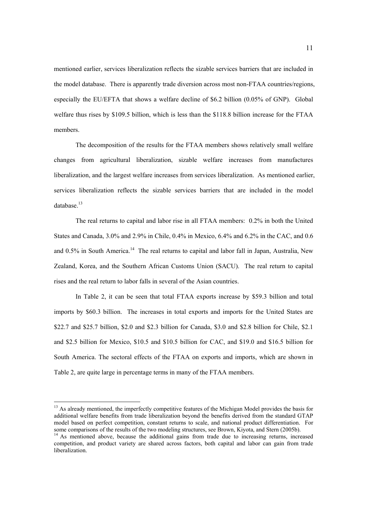mentioned earlier, services liberalization reflects the sizable services barriers that are included in the model database. There is apparently trade diversion across most non-FTAA countries/regions, especially the EU/EFTA that shows a welfare decline of \$6.2 billion (0.05% of GNP). Global welfare thus rises by \$109.5 billion, which is less than the \$118.8 billion increase for the FTAA members.

 The decomposition of the results for the FTAA members shows relatively small welfare changes from agricultural liberalization, sizable welfare increases from manufactures liberalization, and the largest welfare increases from services liberalization. As mentioned earlier, services liberalization reflects the sizable services barriers that are included in the model database.<sup>13</sup>

 The real returns to capital and labor rise in all FTAA members: 0.2% in both the United States and Canada, 3.0% and 2.9% in Chile, 0.4% in Mexico, 6.4% and 6.2% in the CAC, and 0.6 and 0.5% in South America.<sup>14</sup> The real returns to capital and labor fall in Japan, Australia, New Zealand, Korea, and the Southern African Customs Union (SACU). The real return to capital rises and the real return to labor falls in several of the Asian countries.

 In Table 2, it can be seen that total FTAA exports increase by \$59.3 billion and total imports by \$60.3 billion. The increases in total exports and imports for the United States are \$22.7 and \$25.7 billion, \$2.0 and \$2.3 billion for Canada, \$3.0 and \$2.8 billion for Chile, \$2.1 and \$2.5 billion for Mexico, \$10.5 and \$10.5 billion for CAC, and \$19.0 and \$16.5 billion for South America. The sectoral effects of the FTAA on exports and imports, which are shown in Table 2, are quite large in percentage terms in many of the FTAA members.

<sup>&</sup>lt;sup>13</sup> As already mentioned, the imperfectly competitive features of the Michigan Model provides the basis for additional welfare benefits from trade liberalization beyond the benefits derived from the standard GTAP model based on perfect competition, constant returns to scale, and national product differentiation. For some comparisons of the results of the two modeling structures, see Brown, Kiyota, and Stern (2005b).

<sup>&</sup>lt;sup>14</sup> As mentioned above, because the additional gains from trade due to increasing returns, increased competition, and product variety are shared across factors, both capital and labor can gain from trade liberalization.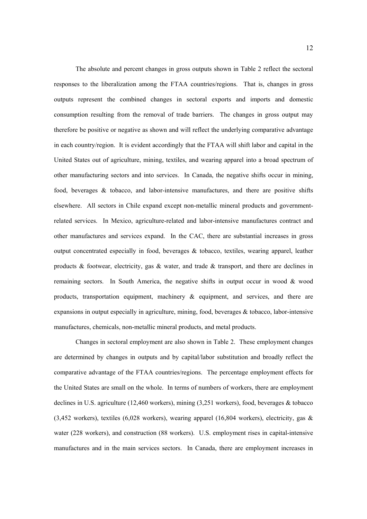The absolute and percent changes in gross outputs shown in Table 2 reflect the sectoral responses to the liberalization among the FTAA countries/regions. That is, changes in gross outputs represent the combined changes in sectoral exports and imports and domestic consumption resulting from the removal of trade barriers. The changes in gross output may therefore be positive or negative as shown and will reflect the underlying comparative advantage in each country/region. It is evident accordingly that the FTAA will shift labor and capital in the United States out of agriculture, mining, textiles, and wearing apparel into a broad spectrum of other manufacturing sectors and into services. In Canada, the negative shifts occur in mining, food, beverages & tobacco, and labor-intensive manufactures, and there are positive shifts elsewhere. All sectors in Chile expand except non-metallic mineral products and governmentrelated services. In Mexico, agriculture-related and labor-intensive manufactures contract and other manufactures and services expand. In the CAC, there are substantial increases in gross output concentrated especially in food, beverages  $\&$  tobacco, textiles, wearing apparel, leather products & footwear, electricity, gas & water, and trade & transport, and there are declines in remaining sectors. In South America, the negative shifts in output occur in wood & wood products, transportation equipment, machinery & equipment, and services, and there are expansions in output especially in agriculture, mining, food, beverages  $\&$  tobacco, labor-intensive manufactures, chemicals, non-metallic mineral products, and metal products.

 Changes in sectoral employment are also shown in Table 2. These employment changes are determined by changes in outputs and by capital/labor substitution and broadly reflect the comparative advantage of the FTAA countries/regions. The percentage employment effects for the United States are small on the whole. In terms of numbers of workers, there are employment declines in U.S. agriculture (12,460 workers), mining (3,251 workers), food, beverages & tobacco  $(3,452 \text{ workers})$ , textiles  $(6,028 \text{ workers})$ , wearing apparel  $(16,804 \text{ workers})$ , electricity, gas & water (228 workers), and construction (88 workers). U.S. employment rises in capital-intensive manufactures and in the main services sectors. In Canada, there are employment increases in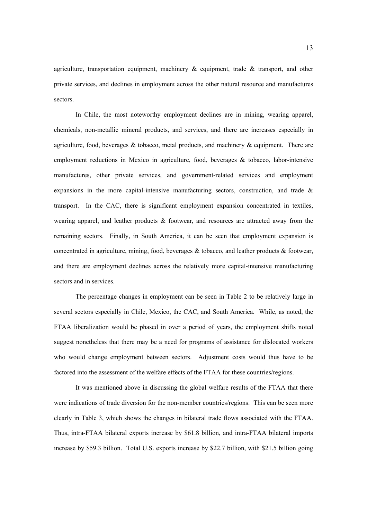agriculture, transportation equipment, machinery  $\&$  equipment, trade  $\&$  transport, and other private services, and declines in employment across the other natural resource and manufactures sectors.

 In Chile, the most noteworthy employment declines are in mining, wearing apparel, chemicals, non-metallic mineral products, and services, and there are increases especially in agriculture, food, beverages  $\&$  tobacco, metal products, and machinery  $\&$  equipment. There are employment reductions in Mexico in agriculture, food, beverages & tobacco, labor-intensive manufactures, other private services, and government-related services and employment expansions in the more capital-intensive manufacturing sectors, construction, and trade & transport. In the CAC, there is significant employment expansion concentrated in textiles, wearing apparel, and leather products & footwear, and resources are attracted away from the remaining sectors. Finally, in South America, it can be seen that employment expansion is concentrated in agriculture, mining, food, beverages & tobacco, and leather products & footwear, and there are employment declines across the relatively more capital-intensive manufacturing sectors and in services.

 The percentage changes in employment can be seen in Table 2 to be relatively large in several sectors especially in Chile, Mexico, the CAC, and South America. While, as noted, the FTAA liberalization would be phased in over a period of years, the employment shifts noted suggest nonetheless that there may be a need for programs of assistance for dislocated workers who would change employment between sectors. Adjustment costs would thus have to be factored into the assessment of the welfare effects of the FTAA for these countries/regions.

 It was mentioned above in discussing the global welfare results of the FTAA that there were indications of trade diversion for the non-member countries/regions. This can be seen more clearly in Table 3, which shows the changes in bilateral trade flows associated with the FTAA. Thus, intra-FTAA bilateral exports increase by \$61.8 billion, and intra-FTAA bilateral imports increase by \$59.3 billion. Total U.S. exports increase by \$22.7 billion, with \$21.5 billion going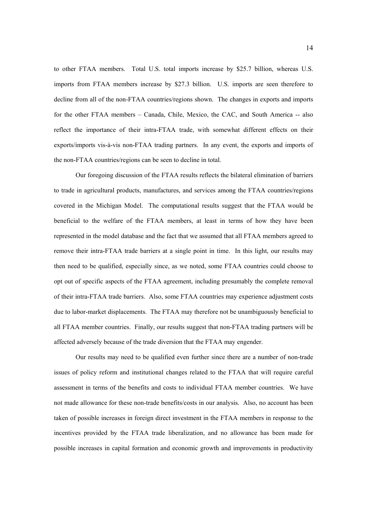to other FTAA members. Total U.S. total imports increase by \$25.7 billion, whereas U.S. imports from FTAA members increase by \$27.3 billion. U.S. imports are seen therefore to decline from all of the non-FTAA countries/regions shown. The changes in exports and imports for the other FTAA members - Canada, Chile, Mexico, the CAC, and South America -- also reflect the importance of their intra-FTAA trade, with somewhat different effects on their exports/imports vis-à-vis non-FTAA trading partners. In any event, the exports and imports of the non-FTAA countries/regions can be seen to decline in total.

 Our foregoing discussion of the FTAA results reflects the bilateral elimination of barriers to trade in agricultural products, manufactures, and services among the FTAA countries/regions covered in the Michigan Model. The computational results suggest that the FTAA would be beneficial to the welfare of the FTAA members, at least in terms of how they have been represented in the model database and the fact that we assumed that all FTAA members agreed to remove their intra-FTAA trade barriers at a single point in time. In this light, our results may then need to be qualified, especially since, as we noted, some FTAA countries could choose to opt out of specific aspects of the FTAA agreement, including presumably the complete removal of their intra-FTAA trade barriers. Also, some FTAA countries may experience adjustment costs due to labor-market displacements. The FTAA may therefore not be unambiguously beneficial to all FTAA member countries. Finally, our results suggest that non-FTAA trading partners will be affected adversely because of the trade diversion that the FTAA may engender.

 Our results may need to be qualified even further since there are a number of non-trade issues of policy reform and institutional changes related to the FTAA that will require careful assessment in terms of the benefits and costs to individual FTAA member countries. We have not made allowance for these non-trade benefits/costs in our analysis. Also, no account has been taken of possible increases in foreign direct investment in the FTAA members in response to the incentives provided by the FTAA trade liberalization, and no allowance has been made for possible increases in capital formation and economic growth and improvements in productivity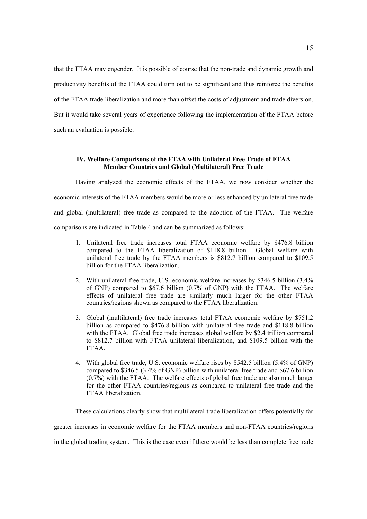that the FTAA may engender. It is possible of course that the non-trade and dynamic growth and productivity benefits of the FTAA could turn out to be significant and thus reinforce the benefits of the FTAA trade liberalization and more than offset the costs of adjustment and trade diversion. But it would take several years of experience following the implementation of the FTAA before such an evaluation is possible.

## **IV. Welfare Comparisons of the FTAA with Unilateral Free Trade of FTAA Member Countries and Global (Multilateral) Free Trade**

 Having analyzed the economic effects of the FTAA, we now consider whether the economic interests of the FTAA members would be more or less enhanced by unilateral free trade and global (multilateral) free trade as compared to the adoption of the FTAA. The welfare comparisons are indicated in Table 4 and can be summarized as follows:

- 1. Unilateral free trade increases total FTAA economic welfare by \$476.8 billion compared to the FTAA liberalization of \$118.8 billion. Global welfare with unilateral free trade by the FTAA members is \$812.7 billion compared to \$109.5 billion for the FTAA liberalization.
- 2. With unilateral free trade, U.S. economic welfare increases by \$346.5 billion (3.4% of GNP) compared to \$67.6 billion (0.7% of GNP) with the FTAA. The welfare effects of unilateral free trade are similarly much larger for the other FTAA countries/regions shown as compared to the FTAA liberalization.
- 3. Global (multilateral) free trade increases total FTAA economic welfare by \$751.2 billion as compared to \$476.8 billion with unilateral free trade and \$118.8 billion with the FTAA. Global free trade increases global welfare by \$2.4 trillion compared to \$812.7 billion with FTAA unilateral liberalization, and \$109.5 billion with the FTAA.
- 4. With global free trade, U.S. economic welfare rises by \$542.5 billion (5.4% of GNP) compared to \$346.5 (3.4% of GNP) billion with unilateral free trade and \$67.6 billion (0.7%) with the FTAA. The welfare effects of global free trade are also much larger for the other FTAA countries/regions as compared to unilateral free trade and the FTAA liberalization.

These calculations clearly show that multilateral trade liberalization offers potentially far greater increases in economic welfare for the FTAA members and non-FTAA countries/regions in the global trading system. This is the case even if there would be less than complete free trade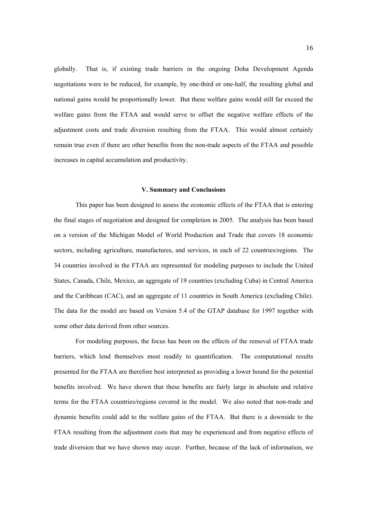globally. That is, if existing trade barriers in the ongoing Doha Development Agenda negotiations were to be reduced, for example, by one-third or one-half, the resulting global and national gains would be proportionally lower. But these welfare gains would still far exceed the welfare gains from the FTAA and would serve to offset the negative welfare effects of the adjustment costs and trade diversion resulting from the FTAA. This would almost certainly remain true even if there are other benefits from the non-trade aspects of the FTAA and possible increases in capital accumulation and productivity.

#### **V. Summary and Conclusions**

 This paper has been designed to assess the economic effects of the FTAA that is entering the final stages of negotiation and designed for completion in 2005. The analysis has been based on a version of the Michigan Model of World Production and Trade that covers 18 economic sectors, including agriculture, manufactures, and services, in each of 22 countries/regions. The 34 countries involved in the FTAA are represented for modeling purposes to include the United States, Canada, Chile, Mexico, an aggregate of 19 countries (excluding Cuba) in Central America and the Caribbean (CAC), and an aggregate of 11 countries in South America (excluding Chile). The data for the model are based on Version 5.4 of the GTAP database for 1997 together with some other data derived from other sources.

For modeling purposes, the focus has been on the effects of the removal of FTAA trade barriers, which lend themselves most readily to quantification. The computational results presented for the FTAA are therefore best interpreted as providing a lower bound for the potential benefits involved. We have shown that these benefits are fairly large in absolute and relative terms for the FTAA countries/regions covered in the model. We also noted that non-trade and dynamic benefits could add to the welfare gains of the FTAA. But there is a downside to the FTAA resulting from the adjustment costs that may be experienced and from negative effects of trade diversion that we have shown may occur. Further, because of the lack of information, we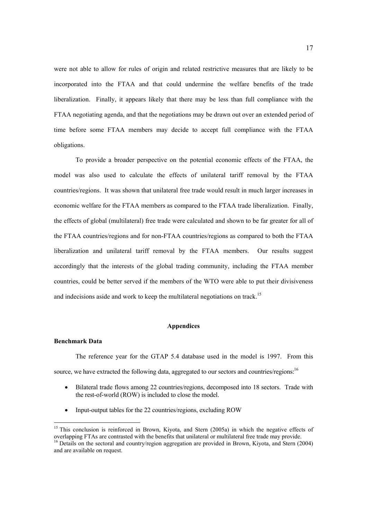were not able to allow for rules of origin and related restrictive measures that are likely to be incorporated into the FTAA and that could undermine the welfare benefits of the trade liberalization. Finally, it appears likely that there may be less than full compliance with the FTAA negotiating agenda, and that the negotiations may be drawn out over an extended period of time before some FTAA members may decide to accept full compliance with the FTAA obligations.

 To provide a broader perspective on the potential economic effects of the FTAA, the model was also used to calculate the effects of unilateral tariff removal by the FTAA countries/regions. It was shown that unilateral free trade would result in much larger increases in economic welfare for the FTAA members as compared to the FTAA trade liberalization. Finally, the effects of global (multilateral) free trade were calculated and shown to be far greater for all of the FTAA countries/regions and for non-FTAA countries/regions as compared to both the FTAA liberalization and unilateral tariff removal by the FTAA members. Our results suggest accordingly that the interests of the global trading community, including the FTAA member countries, could be better served if the members of the WTO were able to put their divisiveness and indecisions aside and work to keep the multilateral negotiations on track.<sup>15</sup>

#### **Appendices**

#### **Benchmark Data**

 The reference year for the GTAP 5.4 database used in the model is 1997. From this source, we have extracted the following data, aggregated to our sectors and countries/regions:<sup>16</sup>

- Bilateral trade flows among 22 countries/regions, decomposed into 18 sectors. Trade with the rest-of-world (ROW) is included to close the model.
- Input-output tables for the 22 countries/regions, excluding ROW

<sup>&</sup>lt;sup>15</sup> This conclusion is reinforced in Brown, Kiyota, and Stern (2005a) in which the negative effects of overlapping FTAs are contrasted with the benefits that unilateral or multilateral free trade may provide. <sup>16</sup> Details on the sectoral and country/region aggregation are provided in Brown, Kiyota, and Stern (2004) and are available on request.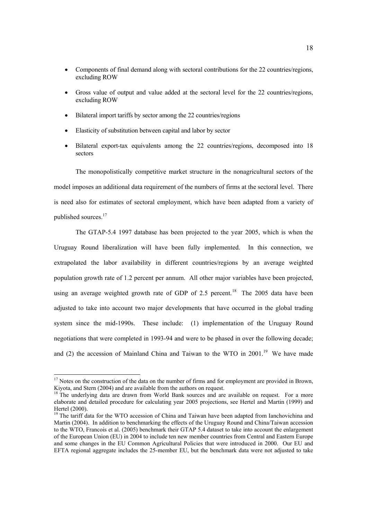- Components of final demand along with sectoral contributions for the 22 countries/regions, excluding ROW
- Gross value of output and value added at the sectoral level for the 22 countries/regions, excluding ROW
- Bilateral import tariffs by sector among the 22 countries/regions
- Elasticity of substitution between capital and labor by sector
- Bilateral export-tax equivalents among the 22 countries/regions, decomposed into 18 sectors

The monopolistically competitive market structure in the nonagricultural sectors of the model imposes an additional data requirement of the numbers of firms at the sectoral level. There is need also for estimates of sectoral employment, which have been adapted from a variety of published sources.<sup>17</sup>

 The GTAP-5.4 1997 database has been projected to the year 2005, which is when the Uruguay Round liberalization will have been fully implemented. In this connection, we extrapolated the labor availability in different countries/regions by an average weighted population growth rate of 1.2 percent per annum. All other major variables have been projected, using an average weighted growth rate of GDP of  $2.5$  percent.<sup>18</sup> The 2005 data have been adjusted to take into account two major developments that have occurred in the global trading system since the mid-1990s. These include: (1) implementation of the Uruguay Round negotiations that were completed in 1993-94 and were to be phased in over the following decade; and (2) the accession of Mainland China and Taiwan to the WTO in  $2001$ .<sup>19</sup> We have made

l

 $17$  Notes on the construction of the data on the number of firms and for employment are provided in Brown, Kiyota, and Stern (2004) and are available from the authors on request.

<sup>&</sup>lt;sup>18</sup> The underlying data are drawn from World Bank sources and are available on request. For a more elaborate and detailed procedure for calculating year 2005 projections, see Hertel and Martin (1999) and Hertel (2000).

<sup>&</sup>lt;sup>19</sup> The tariff data for the WTO accession of China and Taiwan have been adapted from Ianchovichina and Martin (2004). In addition to benchmarking the effects of the Uruguay Round and China/Taiwan accession to the WTO, Francois et al. (2005) benchmark their GTAP 5.4 dataset to take into account the enlargement of the European Union (EU) in 2004 to include ten new member countries from Central and Eastern Europe and some changes in the EU Common Agricultural Policies that were introduced in 2000. Our EU and EFTA regional aggregate includes the 25-member EU, but the benchmark data were not adjusted to take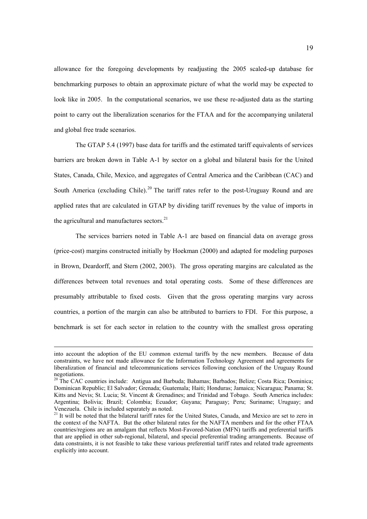allowance for the foregoing developments by readjusting the 2005 scaled-up database for benchmarking purposes to obtain an approximate picture of what the world may be expected to look like in 2005. In the computational scenarios, we use these re-adjusted data as the starting point to carry out the liberalization scenarios for the FTAA and for the accompanying unilateral and global free trade scenarios.

 The GTAP 5.4 (1997) base data for tariffs and the estimated tariff equivalents of services barriers are broken down in Table A-1 by sector on a global and bilateral basis for the United States, Canada, Chile, Mexico, and aggregates of Central America and the Caribbean (CAC) and South America (excluding Chile).<sup>20</sup> The tariff rates refer to the post-Uruguay Round and are applied rates that are calculated in GTAP by dividing tariff revenues by the value of imports in the agricultural and manufactures sectors.<sup>21</sup>

 The services barriers noted in Table A-1 are based on financial data on average gross (price-cost) margins constructed initially by Hoekman (2000) and adapted for modeling purposes in Brown, Deardorff, and Stern (2002, 2003). The gross operating margins are calculated as the differences between total revenues and total operating costs. Some of these differences are presumably attributable to fixed costs. Given that the gross operating margins vary across countries, a portion of the margin can also be attributed to barriers to FDI. For this purpose, a benchmark is set for each sector in relation to the country with the smallest gross operating

into account the adoption of the EU common external tariffs by the new members. Because of data constraints, we have not made allowance for the Information Technology Agreement and agreements for liberalization of financial and telecommunications services following conclusion of the Uruguay Round negotiations.

<sup>&</sup>lt;sup>20</sup> The CAC countries include: Antigua and Barbuda; Bahamas; Barbados; Belize; Costa Rica; Dominica; Dominican Republic; El Salvador; Grenada; Guatemala; Haiti; Honduras; Jamaica; Nicaragua; Panama; St. Kitts and Nevis; St. Lucia; St. Vincent & Grenadines; and Trinidad and Tobago. South America includes: Argentina; Bolivia; Brazil; Colombia; Ecuador; Guyana; Paraguay; Peru; Suriname; Uruguay; and Venezuela. Chile is included separately as noted.

<sup>&</sup>lt;sup>21</sup> It will be noted that the bilateral tariff rates for the United States, Canada, and Mexico are set to zero in the context of the NAFTA. But the other bilateral rates for the NAFTA members and for the other FTAA countries/regions are an amalgam that reflects Most-Favored-Nation (MFN) tariffs and preferential tariffs that are applied in other sub-regional, bilateral, and special preferential trading arrangements. Because of data constraints, it is not feasible to take these various preferential tariff rates and related trade agreements explicitly into account.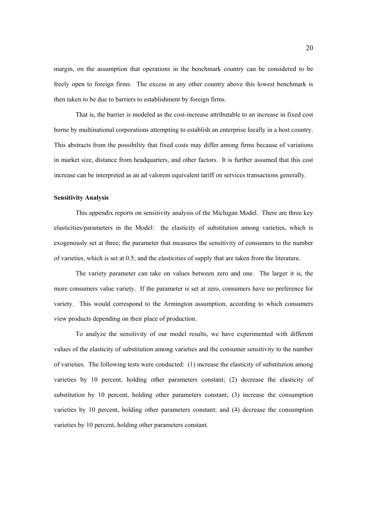margin, on the assumption that operations in the benchmark country can be considered to be freely open to foreign firms. The excess in any other country above this lowest benchmark is then taken to be due to barriers to establishment by foreign firms.

 That is, the barrier is modeled as the cost-increase attributable to an increase in fixed cost borne by multinational corporations attempting to establish an enterprise locally in a host country. This abstracts from the possibility that fixed costs may differ among firms because of variations in market size, distance from headquarters, and other factors. It is further assumed that this cost increase can be interpreted as an ad valorem equivalent tariff on services transactions generally.

#### **Sensitivity Analysis**

This appendix reports on sensitivity analysis of the Michigan Model. There are three key elasticities/parameters in the Model: the elasticity of substitution among varieties, which is exogenously set at three; the parameter that measures the sensitivity of consumers to the number of varieties, which is set at 0.5; and the elasticities of supply that are taken from the literature.

 The variety parameter can take on values between zero and one. The larger it is, the more consumers value variety. If the parameter is set at zero, consumers have no preference for variety. This would correspond to the Armington assumption, according to which consumers view products depending on their place of production.

 To analyze the sensitivity of our model results, we have experimented with different values of the elasticity of substitution among varieties and the consumer sensitivity to the number of varieties. The following tests were conducted: (1) increase the elasticity of substitution among varieties by 10 percent, holding other parameters constant; (2) decrease the elasticity of substitution by 10 percent, holding other parameters constant; (3) increase the consumption varieties by 10 percent, holding other parameters constant; and (4) decrease the consumption varieties by 10 percent, holding other parameters constant.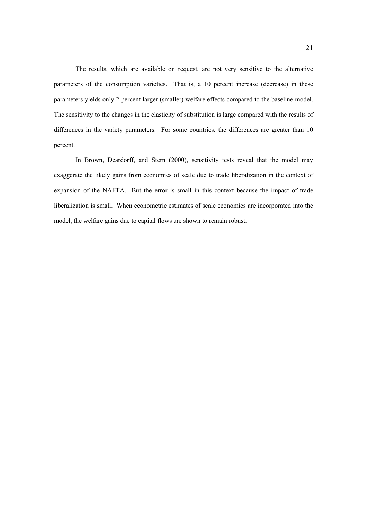The results, which are available on request, are not very sensitive to the alternative parameters of the consumption varieties. That is, a 10 percent increase (decrease) in these parameters yields only 2 percent larger (smaller) welfare effects compared to the baseline model. The sensitivity to the changes in the elasticity of substitution is large compared with the results of differences in the variety parameters. For some countries, the differences are greater than 10 percent.

 In Brown, Deardorff, and Stern (2000), sensitivity tests reveal that the model may exaggerate the likely gains from economies of scale due to trade liberalization in the context of expansion of the NAFTA. But the error is small in this context because the impact of trade liberalization is small. When econometric estimates of scale economies are incorporated into the model, the welfare gains due to capital flows are shown to remain robust.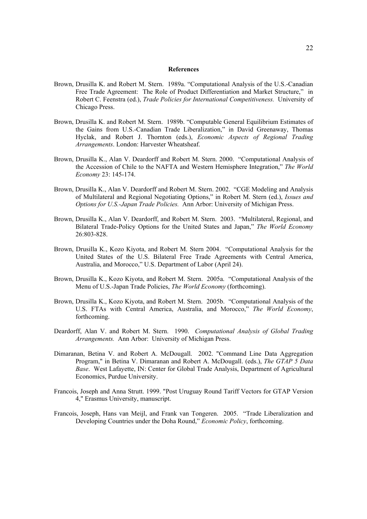#### **References**

- Brown, Drusilla K. and Robert M. Stern. 1989a. "Computational Analysis of the U.S.-Canadian Free Trade Agreement: The Role of Product Differentiation and Market Structure." in Robert C. Feenstra (ed.), *Trade Policies for International Competitiveness.* University of Chicago Press.
- Brown, Drusilla K. and Robert M. Stern. 1989b. "Computable General Equilibrium Estimates of the Gains from U.S.-Canadian Trade Liberalization," in David Greenaway, Thomas Hyclak, and Robert J. Thornton (eds.), *Economic Aspects of Regional Trading Arrangements*. London: Harvester Wheatsheaf.
- Brown, Drusilla K., Alan V. Deardorff and Robert M. Stern. 2000. "Computational Analysis of the Accession of Chile to the NAFTA and Western Hemisphere Integration," *The World Economy* 23: 145-174.
- Brown, Drusilla K., Alan V. Deardorff and Robert M. Stern. 2002. "CGE Modeling and Analysis of Multilateral and Regional Negotiating Options," in Robert M. Stern (ed.), Issues and *Options for U.S.-Japan Trade Policies.* Ann Arbor: University of Michigan Press.
- Brown, Drusilla K., Alan V. Deardorff, and Robert M. Stern. 2003. "Multilateral, Regional, and Bilateral Trade-Policy Options for the United States and Japan,î *The World Economy*  26:803-828.
- Brown, Drusilla K., Kozo Kiyota, and Robert M. Stern 2004. "Computational Analysis for the United States of the U.S. Bilateral Free Trade Agreements with Central America, Australia, and Morocco," U.S. Department of Labor (April 24).
- Brown, Drusilla K., Kozo Kiyota, and Robert M. Stern. 2005a. "Computational Analysis of the Menu of U.S.-Japan Trade Policies, *The World Economy* (forthcoming).
- Brown, Drusilla K., Kozo Kiyota, and Robert M. Stern. 2005b. "Computational Analysis of the U.S. FTAs with Central America, Australia, and Morocco,<sup>"</sup> The World Economy, forthcoming.
- Deardorff, Alan V. and Robert M. Stern. 1990. *Computational Analysis of Global Trading Arrangements.* Ann Arbor: University of Michigan Press.
- Dimaranan, Betina V. and Robert A. McDougall. 2002. "Command Line Data Aggregation Program," in Betina V. Dimaranan and Robert A. McDougall. (eds.), *The GTAP 5 Data Base*. West Lafayette, IN: Center for Global Trade Analysis, Department of Agricultural Economics, Purdue University.
- Francois, Joseph and Anna Strutt. 1999. "Post Uruguay Round Tariff Vectors for GTAP Version 4," Erasmus University, manuscript.
- Francois, Joseph, Hans van Meijl, and Frank van Tongeren. 2005. "Trade Liberalization and Developing Countries under the Doha Round," *Economic Policy*, forthcoming.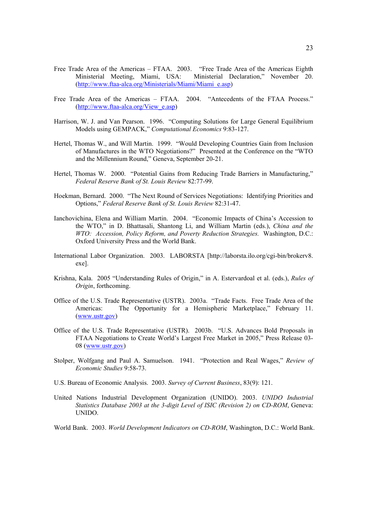- Free Trade Area of the Americas  $-$  FTAA. 2003. "Free Trade Area of the Americas Eighth Ministerial Meeting, Miami, USA: Ministerial Declaration," November 20. (http://www.ftaa-alca.org/Ministerials/Miami/Miami\_e.asp)
- Free Trade Area of the Americas FTAA. 2004. "Antecedents of the FTAA Process." (http://www.ftaa-alca.org/View\_e.asp)
- Harrison, W. J. and Van Pearson. 1996. "Computing Solutions for Large General Equilibrium Models using GEMPACK," *Computational Economics* 9:83-127.
- Hertel, Thomas W., and Will Martin. 1999. "Would Developing Countries Gain from Inclusion of Manufactures in the WTO Negotiations?" Presented at the Conference on the "WTO and the Millennium Round," Geneva, September 20-21.
- Hertel, Thomas W. 2000. "Potential Gains from Reducing Trade Barriers in Manufacturing," *Federal Reserve Bank of St. Louis Review* 82:77-99.
- Hoekman, Bernard. 2000. "The Next Round of Services Negotiations: Identifying Priorities and Options,î *Federal Reserve Bank of St. Louis Review* 82:31-47.
- Ianchovichina, Elena and William Martin. 2004. "Economic Impacts of China's Accession to the WTO," in D. Bhattasali, Shantong Li, and William Martin (eds.), *China and the WTO: Accession, Policy Reform, and Poverty Reduction Strategies.* Washington, D.C.: Oxford University Press and the World Bank.
- International Labor Organization. 2003. LABORSTA [http://laborsta.ilo.org/cgi-bin/brokerv8. exe].
- Krishna, Kala. 2005 "Understanding Rules of Origin," in A. Estervardoal et al. (eds.), *Rules of Origin*, forthcoming.
- Office of the U.S. Trade Representative (USTR). 2003a. "Trade Facts. Free Trade Area of the Americas: The Opportunity for a Hemispheric Marketplace," February 11. (www.ustr.gov)
- Office of the U.S. Trade Representative (USTR). 2003b. "U.S. Advances Bold Proposals in FTAA Negotiations to Create World's Largest Free Market in 2005," Press Release 03-08 (www.ustr.gov)
- Stolper, Wolfgang and Paul A. Samuelson. 1941. *"Protection and Real Wages," Review of Economic Studies* 9:58-73.
- U.S. Bureau of Economic Analysis. 2003. *Survey of Current Business*, 83(9): 121.
- United Nations Industrial Development Organization (UNIDO). 2003. *UNIDO Industrial Statistics Database 2003 at the 3-digit Level of ISIC (Revision 2) on CD-ROM*, Geneva: UNIDO.
- World Bank. 2003. *World Development Indicators on CD-ROM*, Washington, D.C.: World Bank.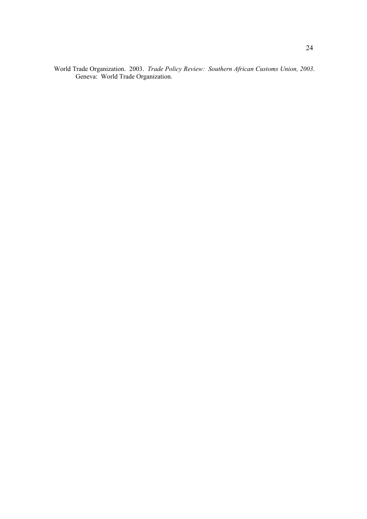World Trade Organization. 2003. *Trade Policy Review: Southern African Customs Union, 2003*. Geneva: World Trade Organization.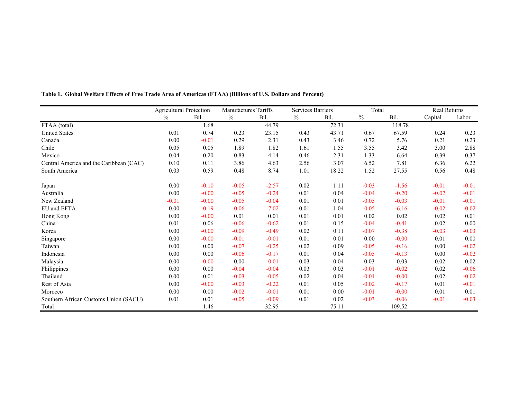|                                         | <b>Agricultural Protection</b> |         | Manufactures Tariffs |         | Services Barriers |       | Total         |          | Real Returns |          |
|-----------------------------------------|--------------------------------|---------|----------------------|---------|-------------------|-------|---------------|----------|--------------|----------|
|                                         | $\%$                           | Bil.    | $\frac{0}{0}$        | Bil.    | $\frac{0}{0}$     | Bil.  | $\frac{0}{0}$ | Bil.     | Capital      | Labor    |
| FTAA (total)                            |                                | 1.68    |                      | 44.79   |                   | 72.31 |               | 118.78   |              |          |
| <b>United States</b>                    | 0.01                           | 0.74    | 0.23                 | 23.15   | 0.43              | 43.71 | 0.67          | 67.59    | 0.24         | 0.23     |
| Canada                                  | 0.00                           | $-0.01$ | 0.29                 | 2.31    | 0.43              | 3.46  | 0.72          | 5.76     | 0.21         | 0.23     |
| Chile                                   | 0.05                           | 0.05    | 1.89                 | 1.82    | 1.61              | 1.55  | 3.55          | 3.42     | 3.00         | 2.88     |
| Mexico                                  | 0.04                           | 0.20    | 0.83                 | 4.14    | 0.46              | 2.31  | 1.33          | 6.64     | 0.39         | 0.37     |
| Central America and the Caribbean (CAC) | 0.10                           | 0.11    | 3.86                 | 4.63    | 2.56              | 3.07  | 6.52          | 7.81     | 6.36         | 6.22     |
| South America                           | 0.03                           | 0.59    | 0.48                 | 8.74    | 1.01              | 18.22 | 1.52          | 27.55    | 0.56         | 0.48     |
| Japan                                   | 0.00                           | $-0.10$ | $-0.05$              | $-2.57$ | 0.02              | 1.11  | $-0.03$       | $-1.56$  | $-0.01$      | $-0.01$  |
| Australia                               | $0.00\,$                       | $-0.00$ | $-0.05$              | $-0.24$ | 0.01              | 0.04  | $-0.04$       | $-0.20$  | $-0.02$      | $-0.01$  |
| New Zealand                             | $-0.01$                        | $-0.00$ | $-0.05$              | $-0.04$ | 0.01              | 0.01  | $-0.05$       | $-0.03$  | $-0.01$      | $-0.01$  |
| EU and EFTA                             | 0.00                           | $-0.19$ | $-0.06$              | $-7.02$ | 0.01              | 1.04  | $-0.05$       | $-6.16$  | $-0.02$      | $-0.02$  |
| Hong Kong                               | 0.00                           | $-0.00$ | 0.01                 | 0.01    | 0.01              | 0.01  | 0.02          | $0.02\,$ | 0.02         | 0.01     |
| China                                   | 0.01                           | 0.06    | $-0.06$              | $-0.62$ | 0.01              | 0.15  | $-0.04$       | $-0.41$  | 0.02         | $0.00\,$ |
| Korea                                   | 0.00                           | $-0.00$ | $-0.09$              | $-0.49$ | 0.02              | 0.11  | $-0.07$       | $-0.38$  | $-0.03$      | $-0.03$  |
| Singapore                               | 0.00                           | $-0.00$ | $-0.01$              | $-0.01$ | 0.01              | 0.01  | 0.00          | $-0.00$  | 0.01         | $0.00\,$ |
| Taiwan                                  | 0.00                           | 0.00    | $-0.07$              | $-0.25$ | 0.02              | 0.09  | $-0.05$       | $-0.16$  | 0.00         | $-0.02$  |
| Indonesia                               | $0.00\,$                       | 0.00    | $-0.06$              | $-0.17$ | 0.01              | 0.04  | $-0.05$       | $-0.13$  | $0.00\,$     | $-0.02$  |
| Malaysia                                | 0.00                           | $-0.00$ | 0.00                 | $-0.01$ | 0.03              | 0.04  | 0.03          | 0.03     | 0.02         | 0.02     |
| Philippines                             | 0.00                           | 0.00    | $-0.04$              | $-0.04$ | 0.03              | 0.03  | $-0.01$       | $-0.02$  | 0.02         | $-0.06$  |
| Thailand                                | $0.00\,$                       | 0.01    | $-0.03$              | $-0.05$ | 0.02              | 0.04  | $-0.01$       | $-0.00$  | 0.02         | $-0.02$  |
| Rest of Asia                            | 0.00                           | $-0.00$ | $-0.03$              | $-0.22$ | 0.01              | 0.05  | $-0.02$       | $-0.17$  | 0.01         | $-0.01$  |
| Morocco                                 | $0.00\,$                       | 0.00    | $-0.02$              | $-0.01$ | 0.01              | 0.00  | $-0.01$       | $-0.00$  | 0.01         | 0.01     |
| Southern African Customs Union (SACU)   | 0.01                           | 0.01    | $-0.05$              | $-0.09$ | 0.01              | 0.02  | $-0.03$       | $-0.06$  | $-0.01$      | $-0.03$  |
| Total                                   |                                | 1.46    |                      | 32.95   |                   | 75.11 |               | 109.52   |              |          |

**Table 1. Global Welfare Effects of Free Trade Area of Americas (FTAA) (Billions of U.S. Dollars and Percent)**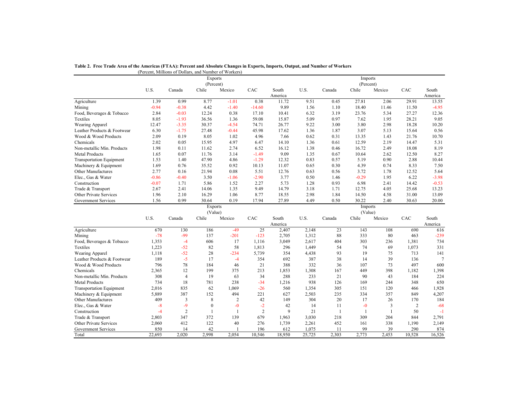|                                 | (Percent, Millions of Dollars, and Number of Workers) |                |              |                |                |         |        |        |                |                         |                |                |
|---------------------------------|-------------------------------------------------------|----------------|--------------|----------------|----------------|---------|--------|--------|----------------|-------------------------|----------------|----------------|
|                                 |                                                       |                | Exports      |                |                |         |        |        | Imports        |                         |                |                |
|                                 |                                                       |                | (Percent)    |                |                |         |        |        | (Percent)      |                         |                |                |
|                                 | U.S.                                                  | Canada         | Chile        | Mexico         | CAC            | South   | U.S.   | Canada | Chile          | Mexico                  | CAC            | South          |
|                                 |                                                       |                |              |                |                | America |        |        |                |                         |                | America        |
| Agriculture                     | 1.39                                                  | 0.99           | 8.77         | $-1.01$        | 0.38           | 11.72   | 9.51   | 0.45   | 27.81          | 2.06                    | 29.91          | 13.55          |
| Mining                          | $-0.94$                                               | $-0.38$        | 4.42         | $-1.40$        | $-14.60$       | 9.89    | 1.56   | 1.10   | 18.40          | 11.46                   | 11.50          | $-4.95$        |
| Food, Beverages & Tobacco       | 2.84                                                  | $-0.03$        | 12.24        | 0.38           | 17.10          | 10.41   | 6.32   | 3.19   | 23.76          | 5.34                    | 27.27          | 12.36          |
| Textiles                        | 8.05                                                  | $-1.93$        | 36.56        | 1.36           | 59.08          | 15.87   | 5.09   | 0.97   | 7.62           | 1.95                    | 28.21          | 9.05           |
| Wearing Apparel                 | 12.47                                                 | $-3.35$        | 30.37        | $-4.54$        | 74.71          | 26.77   | 9.22   | 3.00   | 3.80           | 2.98                    | 18.28          | 10.20          |
| Leather Products & Footwear     | 6.30                                                  | $-1.75$        | 27.48        | $-0.44$        | 45.98          | 17.62   | 1.36   | 1.87   | 3.07           | 5.13                    | 15.64          | 0.56           |
| Wood & Wood Products            | 2.09                                                  | 0.19           | 8.05         | 1.02           | 4.96           | 7.66    | 0.62   | 0.31   | 13.35          | 1.43                    | 21.76          | 10.70          |
| Chemicals                       | 2.02                                                  | 0.05           | 15.95        | 4.97           | 6.47           | 14.10   | 1.36   | 0.61   | 12.59          | 2.19                    | 14.47          | 5.31           |
| Non-metallic Min. Products      | 1.98                                                  | 0.11           | 11.62        | 2.74           | 6.52           | 16.12   | 1.38   | 0.46   | 16.72          | 2.49                    | 18.08          | 8.19           |
| <b>Metal Products</b>           | 1.65                                                  | 0.07           | 11.76        | 3.14           | $-1.49$        | 9.09    | 1.35   | 0.67   | 10.64          | 2.62                    | 12.50          | 8.27           |
| <b>Transportation Equipment</b> | 1.53                                                  | 1.40           | 47.90        | 4.86           | $-1.29$        | 12.32   | 0.83   | 0.57   | 5.19           | 0.90                    | 2.88           | 10.44          |
| Machinery & Equipment           | 1.69                                                  | 0.76           | 35.52        | 0.92           | 10.13          | 11.07   | 0.65   | 0.30   | 4.39           | 0.74                    | 8.33           | 7.50           |
| <b>Other Manufactures</b>       | 2.77                                                  | 0.16           | 21.94        | 0.08           | 5.51           | 12.76   | 0.63   | 0.56   | 3.72           | 1.78                    | 12.52          | 5.64           |
| Elec., Gas & Water              | $-0.86$                                               | $-0.40$        | 3.50         | $-1.06$        | $-2.90$        | 3.77    | 0.50   | 1.46   | $-0.29$        | 1.95                    | 6.22           | $-3.98$        |
| Construction                    | $-0.07$                                               | 1.71           | 5.86         | 1.52           | 2.27           | 5.73    | 1.28   | 0.93   | 6.98           | 2.41                    | 14.42          | $-0.53$        |
| Trade & Transport               | 2.67                                                  | 2.41           | 14.06        | 1.35           | 9.49           | 14.79   | 3.18   | 1.71   | 12.75          | 4.05                    | 25.68          | 13.23          |
| Other Private Services          | 1.96                                                  | 2.10           | 16.29        | 1.06           | 8.77           | 18.55   | 2.98   | 1.84   | 14.50          | 4.58                    | 31.00          | 13.09          |
| Government Services             | 1.56                                                  | 0.99           | 30.64        | 0.19           | 17.94          | 27.89   | 4.49   | 0.50   | 30.22          | 2.40                    | 30.63          | 20.00          |
|                                 |                                                       |                | Exports      |                |                |         |        |        | Imports        |                         |                |                |
|                                 |                                                       |                | (Value)      |                |                |         |        |        | (Value)        |                         |                |                |
|                                 | U.S.                                                  | Canada         | Chile        | Mexico         | CAC            | South   | U.S.   | Canada | Chile          | Mexico                  | CAC            | South          |
|                                 |                                                       |                |              |                |                | America |        |        |                |                         |                | America        |
| Agriculture                     | 670                                                   | 130            | 186          | $-49$          | 25             | 2,407   | 2,148  | 23     | 143            | 108                     | 690            | 616            |
| Mining                          | $-78$                                                 | $-99$          | 137          | $-201$         | $-123$         | 2,705   | 1,312  | 88     | 333            | 80                      | 463            | $-239$         |
| Food, Beverages & Tobacco       | 1,353                                                 | $-4$           | 606          | 17             | 1,116          | 3,049   | 2,617  | 404    | 303            | 236                     | 1,381          | 734            |
| Textiles                        | 1,223                                                 | $-52$          | 82           | 58             | 1,813          | 296     | 1,449  | 54     | 74             | 69                      | 1,073          | 331            |
| Wearing Apparel                 | 1,118                                                 | $-52$          | 28           | $-234$         | 5,739          | 354     | 4,438  | 93     | 19             | 75                      | 713            | 141            |
| Leather Products & Footwear     | 189                                                   | $-5$           | 17           | $-4$           | 354            | 692     | 387    | 38     | 14             | 39                      | 136            | $\overline{7}$ |
| Wood & Wood Products            | 796                                                   | 78             | 184          | 46             | 21             | 388     | 332    | 36     | 107            | 73                      | 497            | 600            |
| Chemicals                       | 2,365                                                 | 12             | 199          | 375            | 213            | 1,853   | 1,308  | 167    | 449            | 398                     | 1,182          | 1,398          |
| Non-metallic Min. Products      | 308                                                   | $\overline{4}$ | 19           | 63             | 34             | 288     | 233    | 21     | 90             | 43                      | 184            | 224            |
| <b>Metal Products</b>           | 734                                                   | 18             | 781          | 238            | $-34$          | 1,216   | 938    | 126    | 169            | 244                     | 348            | 650            |
| <b>Transportation Equipment</b> | 2,016                                                 | 835            | 62           | 1,069          | $-26$          | 560     | 1,354  | 305    | 151            | 120                     | 466            | 1,928          |
| Machinery & Equipment           | 5,889                                                 | 387            | 152          | 494            | 221            | 627     | 2,503  | 235    | 334            | 357                     | 849            | 4,207          |
| Other Manufactures              | 409                                                   | 3              | 8            | $\overline{2}$ | 42             | 149     | 304    | 20     | 17             | 26                      | 170            | 184            |
| Elec., Gas & Water              | $-8$                                                  | $-9$           | $\mathbf{0}$ | $-0$           | $-2$           | 42      | 14     | 11     | $-0$           | $\overline{\mathbf{3}}$ | $\overline{2}$ | $-68$          |
| Construction                    | $-4$                                                  | $\sqrt{2}$     |              | $\mathbf{1}$   | $\overline{2}$ | 9       | 21     | 1      | $\overline{1}$ |                         | 50             | $-1$           |
| Trade & Transport               | 2,803                                                 | 347            | 372          | 139            | 679            | 1,963   | 3,030  | 218    | 309            | 204                     | 844            | 2,791          |
| Other Private Services          | 2,060                                                 | 412            | 122          | 40             | 276            | 1,739   | 2,261  | 452    | 161            | 338                     | 1,190          | 2,149          |
| Government Services             | 850                                                   | 14             | 42           |                | 196            | 612     | 1,075  | 11     | 99             | 39                      | 290            | 874            |
| Total                           | 22.693                                                | 2.020          | 2.998        | 2.054          | 10,546         | 18,950  | 25,725 | 2.303  | 2,773          | 2.453                   | 10,528         | 16,526         |

**Table 2. Free Trade Area of the Americas (FTAA): Percent and Absolute Changes in Exports, Imports, Output, and Number of Workers**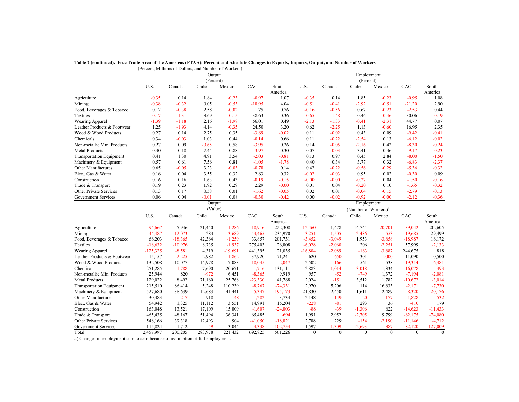| Employment<br>Output<br>(Percent)<br>(Percent)<br>U.S.<br>U.S.<br>CAC<br>South<br>Chile<br>CAC<br>South<br>Canada<br>Chile<br>Mexico<br>Canada<br>Mexico<br>America<br>America<br>$-0.35$<br>0.14<br>1.84<br>$-0.23$<br>$-0.97$<br>1.07<br>$-0.35$<br>0.14<br>1.85<br>$-0.23$<br>$-0.95$<br>Agriculture<br>1.08<br>$-0.38$<br>$-0.32$<br>0.05<br>$-0.53$<br>$-18.95$<br>4.04<br>$-0.51$<br>$-0.41$<br>$-2.92$<br>$-0.51$<br>$-21.20$<br>2.90<br>Mining<br>$-0.38$<br>2.58<br>$-0.02$<br>$-0.23$<br>$-2.53$<br>0.44<br>Food, Beverages & Tobacco<br>0.12<br>1.75<br>0.76<br>$-0.16$<br>$-0.56$<br>0.67<br>$-0.19$<br>Textiles<br>$-0.17$<br>$-1.31$<br>3.69<br>$-0.15$<br>38.63<br>0.36<br>$-0.65$<br>0.46<br>$-0.46$<br>30.06<br>$-1.48$<br>$-1.98$<br>56.01<br>0.07<br>$-1.39$<br>$-1.18$<br>2.16<br>0.49<br>$-2.13$<br>$-1.33$<br>$-0.41$<br>$-2.31$<br>44.77<br>Wearing Apparel<br>24.50<br>$-0.60$<br>Leather Products & Footwear<br>1.25<br>$-1.93$<br>4.14<br>$-0.35$<br>3.20<br>0.62<br>$-2.25$<br>1.13<br>16.95<br>2.35<br>0.27<br>0.14<br>2.75<br>0.35<br>$-3.89$<br>$-0.02$<br>$-0.02$<br>0.43<br>0.09<br>$-9.42$<br>$-0.41$<br>Wood & Wood Products<br>0.11<br>1.03<br>$-0.14$<br>$-6.12$<br>$-0.02$<br>0.34<br>$-0.03$<br>0.44<br>0.66<br>0.11<br>$-0.22$<br>$-2.54$<br>0.13<br>Chemicals<br>$-8.30$<br>0.27<br>0.09<br>$-0.65$<br>0.58<br>$-3.95$<br>0.14<br>$-0.05$<br>$-2.16$<br>0.42<br>$-0.24$<br>Non-metallic Min. Products<br>0.26<br>$-3.97$<br>$-0.23$<br>Metal Products<br>0.30<br>0.18<br>7.44<br>0.88<br>0.30<br>0.07<br>$-0.03$<br>3.41<br>0.36<br>$-9.17$<br>4.91<br>$-2.03$<br>$-1.50$<br><b>Transportation Equipment</b><br>1.30<br>3.54<br>$-0.81$<br>0.97<br>0.45<br>2.84<br>$-8.00$<br>0.41<br>0.13<br>0.57<br>7.56<br>0.81<br>$-1.05$<br>0.40<br>3.77<br>0.32<br>$-6.83$<br>$-2.37$<br>0.61<br>$-1.78$<br>0.34<br>$-0.32$<br>$-0.05$<br>3.23<br>$-0.03$<br>$-0.78$<br>0.14<br>0.42<br>$-0.22$<br>$-0.56$<br>$-0.29$<br>$-5.36$<br>0.65<br>0.09<br>0.04<br>3.55<br>0.32<br>2.83<br>0.32<br>$-0.02$<br>$-0.03$<br>0.95<br>0.02<br>$-0.30$<br>0.16<br>$-0.19$<br>0.04<br>$-0.16$<br>0.16<br>0.16<br>1.63<br>0.43<br>$-0.15$<br>$-0.00$<br>$-0.00$<br>$-0.27$<br>$-1.50$<br>2.29<br>0.19<br>0.23<br>1.92<br>0.29<br>$-0.00$<br>0.01<br>0.04<br>$-0.20$<br>0.10<br>$-1.65$<br>$-0.32$<br>0.58<br>$-1.62$<br>0.02<br>$-0.04$<br>$-2.79$<br>$-0.13$<br>0.13<br>0.17<br>0.01<br>$-0.05$<br>0.01<br>$-0.15$<br>$-0.92$<br>0.06<br>0.04<br>$-0.01$<br>0.08<br>$-0.30$<br>$-0.42$<br>0.00<br>$-0.02$<br>$-0.00$<br>$-2.12$<br>$-0.36$<br>Output<br>Employment<br>(Value)<br>(Number of Workers) <sup>a</sup><br>U.S.<br>CAC<br>U.S.<br>Chile<br>CAC<br>Canada<br>Chile<br>Mexico<br>South<br>South<br>Canada<br>Mexico<br>America<br>America<br>14,744<br>$-94,667$<br>5,946<br>$\overline{21,440}$<br>$-11,286$<br>$-18,916$<br>222,308<br>$-12,460$<br>1,478<br>$-20,701$<br>$-39,042$<br>202,605<br>$-44,487$<br>$-12,073$<br>283<br>$-13,689$<br>234,970<br>$-3,251$<br>$-1,505$<br>$-2,486$<br>$-553$<br>$-19,685$<br>29,499<br>$-43,465$<br>$-1,259$<br>$-3,452$<br>$-3,658$<br>16,172<br>66,203<br>$-18,365$<br>42,364<br>33,857<br>201,731<br>$-3,049$<br>1,953<br>$-18,987$<br>$-18,632$<br>$-10,976$<br>8,735<br>$-1,937$<br>275,403<br>26,808<br>$-6,028$<br>$-2,060$<br>206<br>$-2,251$<br>57,999<br>$-2,133$<br>818<br>$-125,325$<br>$-8,581$<br>4,319<br>$-19,691$<br>21,035<br>$-16,804$<br>$-2,089$<br>$-163$<br>$-3,687$<br>Wearing Apparel<br>441,395<br>244,675<br>2,982<br>$-650$<br>301<br>10,500<br>Leather Products & Footwear<br>15,157<br>$-2,225$<br>$-1,862$<br>37,920<br>71,241<br>620<br>$-1,000$<br>11,090<br>132,508<br>10,077<br>14,978<br>7,083<br>$-18,045$<br>$-2,047$<br>2,502<br>$-166$<br>561<br>538<br>$-19,314$<br>$-6,481$<br>Wood & Wood Products<br>2,883<br>1,334<br>$-393$<br>Chemicals<br>251,285<br>$-1,788$<br>7,690<br>20,671<br>$-1,716$<br>131,111<br>$-1,014$<br>$-3,018$<br>$-16,078$<br>820<br>$-972$<br>$-2,081$<br>25,944<br>6,451<br>$-8,365$<br>9,919<br>957<br>$-52$<br>$-749$<br>1,372<br>$-7,194$<br>Non-metallic Min. Products<br>129,022<br>8,492<br>$-23,330$<br>2,024<br>$-151$<br>3,512<br>1,782<br>$-3,014$<br><b>Metal Products</b><br>71,160<br>25,768<br>41,788<br>$-10,672$<br>215,510<br>86,414<br>5,248<br>$-8,767$<br>$-74,331$<br>2,970<br>5,206<br>114<br>16,633<br>$-2,171$<br>$-7,730$<br><b>Transportation Equipment</b><br>110,239<br>38,639<br>12,683<br>$-5,347$<br>$-195,173$<br>21,830<br>2,489<br>$-8,320$<br>$-20,176$<br>Machinery & Equipment<br>527,680<br>41,441<br>2,450<br>1,611<br>918<br>$-1,282$<br>3,734<br>$-20$<br>$-532$<br>Other Manufactures<br>30,383<br>$-217$<br>$-148$<br>2,148<br>$-149$<br>$-177$<br>$-1,828$<br>293<br>179<br>54,942<br>1,325<br>11,112<br>14,991<br>15,204<br>$-228$<br>$-81$<br>36<br>$-410$<br>Elec., Gas & Water<br>3,551<br>$-1,607$<br>$-24,803$<br>$-88$<br>$-39$<br>622<br>Construction<br>163,048<br>13,521<br>17,109<br>15,809<br>$-1,306$<br>$-14,623$<br>$-11,433$<br>465,435<br>48,167<br>51,494<br>36,341<br>$-694$<br>1,991<br>2,952<br>$-2,705$<br>9,799<br>$-62,175$<br>$-74,080$<br>Trade & Transport<br>65,485<br>904<br>$-18,821$<br>229<br>$-154$<br>$-11,146$<br>$-4,712$<br>Other Private Services<br>548,166<br>39,318<br>12,493<br>$-41,050$<br>2,788<br>$-2,190$<br>1,712<br>$-59$<br>$-4,338$<br>$-102,754$<br>1,597<br>$-1.309$<br>$-12,693$<br>$-387$<br>$-127,009$<br>Government Services<br>115,824<br>3,044<br>$-82,120$ |                           | (Percent, Millions of Dollars, and Number of Workers) |         |         |         |         |         |          |          |          |          |          |          |
|-----------------------------------------------------------------------------------------------------------------------------------------------------------------------------------------------------------------------------------------------------------------------------------------------------------------------------------------------------------------------------------------------------------------------------------------------------------------------------------------------------------------------------------------------------------------------------------------------------------------------------------------------------------------------------------------------------------------------------------------------------------------------------------------------------------------------------------------------------------------------------------------------------------------------------------------------------------------------------------------------------------------------------------------------------------------------------------------------------------------------------------------------------------------------------------------------------------------------------------------------------------------------------------------------------------------------------------------------------------------------------------------------------------------------------------------------------------------------------------------------------------------------------------------------------------------------------------------------------------------------------------------------------------------------------------------------------------------------------------------------------------------------------------------------------------------------------------------------------------------------------------------------------------------------------------------------------------------------------------------------------------------------------------------------------------------------------------------------------------------------------------------------------------------------------------------------------------------------------------------------------------------------------------------------------------------------------------------------------------------------------------------------------------------------------------------------------------------------------------------------------------------------------------------------------------------------------------------------------------------------------------------------------------------------------------------------------------------------------------------------------------------------------------------------------------------------------------------------------------------------------------------------------------------------------------------------------------------------------------------------------------------------------------------------------------------------------------------------------------------------------------------------------------------------------------------------------------------------------------------------------------------------------------------------------------------------------------------------------------------------------------------------------------------------------------------------------------------------------------------------------------------------------------------------------------------------------------------------------------------------------------------------------------------------------------------------------------------------------------------------------------------------------------------------------------------------------------------------------------------------------------------------------------------------------------------------------------------------------------------------------------------------------------------------------------------------------------------------------------------------------------------------------------------------------------------------------------------------------------------------------------------------------------------------------------------------------------------------------------------------------------------------------------------------------------------------------------------------------------------------------------------------------------------------------------------------------------------------------------------------------------------------------------------------------------------------------------------------------------------------------------------------------------------------------------------------------------------------------------------------------------------------------------------------------------------------------------------------------------------------------------------------------------------------------------------------------------------------------------------------------------------------------------------------------------------------------------------------------------------------------------------------------------------------------------------------------------------------------------------------------------------------------------------------------------------------------------------------------------------------------------|---------------------------|-------------------------------------------------------|---------|---------|---------|---------|---------|----------|----------|----------|----------|----------|----------|
|                                                                                                                                                                                                                                                                                                                                                                                                                                                                                                                                                                                                                                                                                                                                                                                                                                                                                                                                                                                                                                                                                                                                                                                                                                                                                                                                                                                                                                                                                                                                                                                                                                                                                                                                                                                                                                                                                                                                                                                                                                                                                                                                                                                                                                                                                                                                                                                                                                                                                                                                                                                                                                                                                                                                                                                                                                                                                                                                                                                                                                                                                                                                                                                                                                                                                                                                                                                                                                                                                                                                                                                                                                                                                                                                                                                                                                                                                                                                                                                                                                                                                                                                                                                                                                                                                                                                                                                                                                                                                                                                                                                                                                                                                                                                                                                                                                                                                                                                                                                                                                                                                                                                                                                                                                                                                                                                                                                                                                                                                                           |                           |                                                       |         |         |         |         |         |          |          |          |          |          |          |
|                                                                                                                                                                                                                                                                                                                                                                                                                                                                                                                                                                                                                                                                                                                                                                                                                                                                                                                                                                                                                                                                                                                                                                                                                                                                                                                                                                                                                                                                                                                                                                                                                                                                                                                                                                                                                                                                                                                                                                                                                                                                                                                                                                                                                                                                                                                                                                                                                                                                                                                                                                                                                                                                                                                                                                                                                                                                                                                                                                                                                                                                                                                                                                                                                                                                                                                                                                                                                                                                                                                                                                                                                                                                                                                                                                                                                                                                                                                                                                                                                                                                                                                                                                                                                                                                                                                                                                                                                                                                                                                                                                                                                                                                                                                                                                                                                                                                                                                                                                                                                                                                                                                                                                                                                                                                                                                                                                                                                                                                                                           |                           |                                                       |         |         |         |         |         |          |          |          |          |          |          |
|                                                                                                                                                                                                                                                                                                                                                                                                                                                                                                                                                                                                                                                                                                                                                                                                                                                                                                                                                                                                                                                                                                                                                                                                                                                                                                                                                                                                                                                                                                                                                                                                                                                                                                                                                                                                                                                                                                                                                                                                                                                                                                                                                                                                                                                                                                                                                                                                                                                                                                                                                                                                                                                                                                                                                                                                                                                                                                                                                                                                                                                                                                                                                                                                                                                                                                                                                                                                                                                                                                                                                                                                                                                                                                                                                                                                                                                                                                                                                                                                                                                                                                                                                                                                                                                                                                                                                                                                                                                                                                                                                                                                                                                                                                                                                                                                                                                                                                                                                                                                                                                                                                                                                                                                                                                                                                                                                                                                                                                                                                           |                           |                                                       |         |         |         |         |         |          |          |          |          |          |          |
|                                                                                                                                                                                                                                                                                                                                                                                                                                                                                                                                                                                                                                                                                                                                                                                                                                                                                                                                                                                                                                                                                                                                                                                                                                                                                                                                                                                                                                                                                                                                                                                                                                                                                                                                                                                                                                                                                                                                                                                                                                                                                                                                                                                                                                                                                                                                                                                                                                                                                                                                                                                                                                                                                                                                                                                                                                                                                                                                                                                                                                                                                                                                                                                                                                                                                                                                                                                                                                                                                                                                                                                                                                                                                                                                                                                                                                                                                                                                                                                                                                                                                                                                                                                                                                                                                                                                                                                                                                                                                                                                                                                                                                                                                                                                                                                                                                                                                                                                                                                                                                                                                                                                                                                                                                                                                                                                                                                                                                                                                                           |                           |                                                       |         |         |         |         |         |          |          |          |          |          |          |
|                                                                                                                                                                                                                                                                                                                                                                                                                                                                                                                                                                                                                                                                                                                                                                                                                                                                                                                                                                                                                                                                                                                                                                                                                                                                                                                                                                                                                                                                                                                                                                                                                                                                                                                                                                                                                                                                                                                                                                                                                                                                                                                                                                                                                                                                                                                                                                                                                                                                                                                                                                                                                                                                                                                                                                                                                                                                                                                                                                                                                                                                                                                                                                                                                                                                                                                                                                                                                                                                                                                                                                                                                                                                                                                                                                                                                                                                                                                                                                                                                                                                                                                                                                                                                                                                                                                                                                                                                                                                                                                                                                                                                                                                                                                                                                                                                                                                                                                                                                                                                                                                                                                                                                                                                                                                                                                                                                                                                                                                                                           |                           |                                                       |         |         |         |         |         |          |          |          |          |          |          |
|                                                                                                                                                                                                                                                                                                                                                                                                                                                                                                                                                                                                                                                                                                                                                                                                                                                                                                                                                                                                                                                                                                                                                                                                                                                                                                                                                                                                                                                                                                                                                                                                                                                                                                                                                                                                                                                                                                                                                                                                                                                                                                                                                                                                                                                                                                                                                                                                                                                                                                                                                                                                                                                                                                                                                                                                                                                                                                                                                                                                                                                                                                                                                                                                                                                                                                                                                                                                                                                                                                                                                                                                                                                                                                                                                                                                                                                                                                                                                                                                                                                                                                                                                                                                                                                                                                                                                                                                                                                                                                                                                                                                                                                                                                                                                                                                                                                                                                                                                                                                                                                                                                                                                                                                                                                                                                                                                                                                                                                                                                           |                           |                                                       |         |         |         |         |         |          |          |          |          |          |          |
|                                                                                                                                                                                                                                                                                                                                                                                                                                                                                                                                                                                                                                                                                                                                                                                                                                                                                                                                                                                                                                                                                                                                                                                                                                                                                                                                                                                                                                                                                                                                                                                                                                                                                                                                                                                                                                                                                                                                                                                                                                                                                                                                                                                                                                                                                                                                                                                                                                                                                                                                                                                                                                                                                                                                                                                                                                                                                                                                                                                                                                                                                                                                                                                                                                                                                                                                                                                                                                                                                                                                                                                                                                                                                                                                                                                                                                                                                                                                                                                                                                                                                                                                                                                                                                                                                                                                                                                                                                                                                                                                                                                                                                                                                                                                                                                                                                                                                                                                                                                                                                                                                                                                                                                                                                                                                                                                                                                                                                                                                                           |                           |                                                       |         |         |         |         |         |          |          |          |          |          |          |
|                                                                                                                                                                                                                                                                                                                                                                                                                                                                                                                                                                                                                                                                                                                                                                                                                                                                                                                                                                                                                                                                                                                                                                                                                                                                                                                                                                                                                                                                                                                                                                                                                                                                                                                                                                                                                                                                                                                                                                                                                                                                                                                                                                                                                                                                                                                                                                                                                                                                                                                                                                                                                                                                                                                                                                                                                                                                                                                                                                                                                                                                                                                                                                                                                                                                                                                                                                                                                                                                                                                                                                                                                                                                                                                                                                                                                                                                                                                                                                                                                                                                                                                                                                                                                                                                                                                                                                                                                                                                                                                                                                                                                                                                                                                                                                                                                                                                                                                                                                                                                                                                                                                                                                                                                                                                                                                                                                                                                                                                                                           |                           |                                                       |         |         |         |         |         |          |          |          |          |          |          |
|                                                                                                                                                                                                                                                                                                                                                                                                                                                                                                                                                                                                                                                                                                                                                                                                                                                                                                                                                                                                                                                                                                                                                                                                                                                                                                                                                                                                                                                                                                                                                                                                                                                                                                                                                                                                                                                                                                                                                                                                                                                                                                                                                                                                                                                                                                                                                                                                                                                                                                                                                                                                                                                                                                                                                                                                                                                                                                                                                                                                                                                                                                                                                                                                                                                                                                                                                                                                                                                                                                                                                                                                                                                                                                                                                                                                                                                                                                                                                                                                                                                                                                                                                                                                                                                                                                                                                                                                                                                                                                                                                                                                                                                                                                                                                                                                                                                                                                                                                                                                                                                                                                                                                                                                                                                                                                                                                                                                                                                                                                           |                           |                                                       |         |         |         |         |         |          |          |          |          |          |          |
|                                                                                                                                                                                                                                                                                                                                                                                                                                                                                                                                                                                                                                                                                                                                                                                                                                                                                                                                                                                                                                                                                                                                                                                                                                                                                                                                                                                                                                                                                                                                                                                                                                                                                                                                                                                                                                                                                                                                                                                                                                                                                                                                                                                                                                                                                                                                                                                                                                                                                                                                                                                                                                                                                                                                                                                                                                                                                                                                                                                                                                                                                                                                                                                                                                                                                                                                                                                                                                                                                                                                                                                                                                                                                                                                                                                                                                                                                                                                                                                                                                                                                                                                                                                                                                                                                                                                                                                                                                                                                                                                                                                                                                                                                                                                                                                                                                                                                                                                                                                                                                                                                                                                                                                                                                                                                                                                                                                                                                                                                                           |                           |                                                       |         |         |         |         |         |          |          |          |          |          |          |
|                                                                                                                                                                                                                                                                                                                                                                                                                                                                                                                                                                                                                                                                                                                                                                                                                                                                                                                                                                                                                                                                                                                                                                                                                                                                                                                                                                                                                                                                                                                                                                                                                                                                                                                                                                                                                                                                                                                                                                                                                                                                                                                                                                                                                                                                                                                                                                                                                                                                                                                                                                                                                                                                                                                                                                                                                                                                                                                                                                                                                                                                                                                                                                                                                                                                                                                                                                                                                                                                                                                                                                                                                                                                                                                                                                                                                                                                                                                                                                                                                                                                                                                                                                                                                                                                                                                                                                                                                                                                                                                                                                                                                                                                                                                                                                                                                                                                                                                                                                                                                                                                                                                                                                                                                                                                                                                                                                                                                                                                                                           |                           |                                                       |         |         |         |         |         |          |          |          |          |          |          |
|                                                                                                                                                                                                                                                                                                                                                                                                                                                                                                                                                                                                                                                                                                                                                                                                                                                                                                                                                                                                                                                                                                                                                                                                                                                                                                                                                                                                                                                                                                                                                                                                                                                                                                                                                                                                                                                                                                                                                                                                                                                                                                                                                                                                                                                                                                                                                                                                                                                                                                                                                                                                                                                                                                                                                                                                                                                                                                                                                                                                                                                                                                                                                                                                                                                                                                                                                                                                                                                                                                                                                                                                                                                                                                                                                                                                                                                                                                                                                                                                                                                                                                                                                                                                                                                                                                                                                                                                                                                                                                                                                                                                                                                                                                                                                                                                                                                                                                                                                                                                                                                                                                                                                                                                                                                                                                                                                                                                                                                                                                           |                           |                                                       |         |         |         |         |         |          |          |          |          |          |          |
|                                                                                                                                                                                                                                                                                                                                                                                                                                                                                                                                                                                                                                                                                                                                                                                                                                                                                                                                                                                                                                                                                                                                                                                                                                                                                                                                                                                                                                                                                                                                                                                                                                                                                                                                                                                                                                                                                                                                                                                                                                                                                                                                                                                                                                                                                                                                                                                                                                                                                                                                                                                                                                                                                                                                                                                                                                                                                                                                                                                                                                                                                                                                                                                                                                                                                                                                                                                                                                                                                                                                                                                                                                                                                                                                                                                                                                                                                                                                                                                                                                                                                                                                                                                                                                                                                                                                                                                                                                                                                                                                                                                                                                                                                                                                                                                                                                                                                                                                                                                                                                                                                                                                                                                                                                                                                                                                                                                                                                                                                                           |                           |                                                       |         |         |         |         |         |          |          |          |          |          |          |
|                                                                                                                                                                                                                                                                                                                                                                                                                                                                                                                                                                                                                                                                                                                                                                                                                                                                                                                                                                                                                                                                                                                                                                                                                                                                                                                                                                                                                                                                                                                                                                                                                                                                                                                                                                                                                                                                                                                                                                                                                                                                                                                                                                                                                                                                                                                                                                                                                                                                                                                                                                                                                                                                                                                                                                                                                                                                                                                                                                                                                                                                                                                                                                                                                                                                                                                                                                                                                                                                                                                                                                                                                                                                                                                                                                                                                                                                                                                                                                                                                                                                                                                                                                                                                                                                                                                                                                                                                                                                                                                                                                                                                                                                                                                                                                                                                                                                                                                                                                                                                                                                                                                                                                                                                                                                                                                                                                                                                                                                                                           |                           |                                                       |         |         |         |         |         |          |          |          |          |          |          |
|                                                                                                                                                                                                                                                                                                                                                                                                                                                                                                                                                                                                                                                                                                                                                                                                                                                                                                                                                                                                                                                                                                                                                                                                                                                                                                                                                                                                                                                                                                                                                                                                                                                                                                                                                                                                                                                                                                                                                                                                                                                                                                                                                                                                                                                                                                                                                                                                                                                                                                                                                                                                                                                                                                                                                                                                                                                                                                                                                                                                                                                                                                                                                                                                                                                                                                                                                                                                                                                                                                                                                                                                                                                                                                                                                                                                                                                                                                                                                                                                                                                                                                                                                                                                                                                                                                                                                                                                                                                                                                                                                                                                                                                                                                                                                                                                                                                                                                                                                                                                                                                                                                                                                                                                                                                                                                                                                                                                                                                                                                           |                           |                                                       |         |         |         |         |         |          |          |          |          |          |          |
|                                                                                                                                                                                                                                                                                                                                                                                                                                                                                                                                                                                                                                                                                                                                                                                                                                                                                                                                                                                                                                                                                                                                                                                                                                                                                                                                                                                                                                                                                                                                                                                                                                                                                                                                                                                                                                                                                                                                                                                                                                                                                                                                                                                                                                                                                                                                                                                                                                                                                                                                                                                                                                                                                                                                                                                                                                                                                                                                                                                                                                                                                                                                                                                                                                                                                                                                                                                                                                                                                                                                                                                                                                                                                                                                                                                                                                                                                                                                                                                                                                                                                                                                                                                                                                                                                                                                                                                                                                                                                                                                                                                                                                                                                                                                                                                                                                                                                                                                                                                                                                                                                                                                                                                                                                                                                                                                                                                                                                                                                                           | Machinery & Equipment     |                                                       |         |         |         |         |         |          |          |          |          |          |          |
|                                                                                                                                                                                                                                                                                                                                                                                                                                                                                                                                                                                                                                                                                                                                                                                                                                                                                                                                                                                                                                                                                                                                                                                                                                                                                                                                                                                                                                                                                                                                                                                                                                                                                                                                                                                                                                                                                                                                                                                                                                                                                                                                                                                                                                                                                                                                                                                                                                                                                                                                                                                                                                                                                                                                                                                                                                                                                                                                                                                                                                                                                                                                                                                                                                                                                                                                                                                                                                                                                                                                                                                                                                                                                                                                                                                                                                                                                                                                                                                                                                                                                                                                                                                                                                                                                                                                                                                                                                                                                                                                                                                                                                                                                                                                                                                                                                                                                                                                                                                                                                                                                                                                                                                                                                                                                                                                                                                                                                                                                                           | Other Manufactures        |                                                       |         |         |         |         |         |          |          |          |          |          |          |
|                                                                                                                                                                                                                                                                                                                                                                                                                                                                                                                                                                                                                                                                                                                                                                                                                                                                                                                                                                                                                                                                                                                                                                                                                                                                                                                                                                                                                                                                                                                                                                                                                                                                                                                                                                                                                                                                                                                                                                                                                                                                                                                                                                                                                                                                                                                                                                                                                                                                                                                                                                                                                                                                                                                                                                                                                                                                                                                                                                                                                                                                                                                                                                                                                                                                                                                                                                                                                                                                                                                                                                                                                                                                                                                                                                                                                                                                                                                                                                                                                                                                                                                                                                                                                                                                                                                                                                                                                                                                                                                                                                                                                                                                                                                                                                                                                                                                                                                                                                                                                                                                                                                                                                                                                                                                                                                                                                                                                                                                                                           | Elec., Gas & Water        |                                                       |         |         |         |         |         |          |          |          |          |          |          |
|                                                                                                                                                                                                                                                                                                                                                                                                                                                                                                                                                                                                                                                                                                                                                                                                                                                                                                                                                                                                                                                                                                                                                                                                                                                                                                                                                                                                                                                                                                                                                                                                                                                                                                                                                                                                                                                                                                                                                                                                                                                                                                                                                                                                                                                                                                                                                                                                                                                                                                                                                                                                                                                                                                                                                                                                                                                                                                                                                                                                                                                                                                                                                                                                                                                                                                                                                                                                                                                                                                                                                                                                                                                                                                                                                                                                                                                                                                                                                                                                                                                                                                                                                                                                                                                                                                                                                                                                                                                                                                                                                                                                                                                                                                                                                                                                                                                                                                                                                                                                                                                                                                                                                                                                                                                                                                                                                                                                                                                                                                           | Construction              |                                                       |         |         |         |         |         |          |          |          |          |          |          |
|                                                                                                                                                                                                                                                                                                                                                                                                                                                                                                                                                                                                                                                                                                                                                                                                                                                                                                                                                                                                                                                                                                                                                                                                                                                                                                                                                                                                                                                                                                                                                                                                                                                                                                                                                                                                                                                                                                                                                                                                                                                                                                                                                                                                                                                                                                                                                                                                                                                                                                                                                                                                                                                                                                                                                                                                                                                                                                                                                                                                                                                                                                                                                                                                                                                                                                                                                                                                                                                                                                                                                                                                                                                                                                                                                                                                                                                                                                                                                                                                                                                                                                                                                                                                                                                                                                                                                                                                                                                                                                                                                                                                                                                                                                                                                                                                                                                                                                                                                                                                                                                                                                                                                                                                                                                                                                                                                                                                                                                                                                           | Trade & Transport         |                                                       |         |         |         |         |         |          |          |          |          |          |          |
|                                                                                                                                                                                                                                                                                                                                                                                                                                                                                                                                                                                                                                                                                                                                                                                                                                                                                                                                                                                                                                                                                                                                                                                                                                                                                                                                                                                                                                                                                                                                                                                                                                                                                                                                                                                                                                                                                                                                                                                                                                                                                                                                                                                                                                                                                                                                                                                                                                                                                                                                                                                                                                                                                                                                                                                                                                                                                                                                                                                                                                                                                                                                                                                                                                                                                                                                                                                                                                                                                                                                                                                                                                                                                                                                                                                                                                                                                                                                                                                                                                                                                                                                                                                                                                                                                                                                                                                                                                                                                                                                                                                                                                                                                                                                                                                                                                                                                                                                                                                                                                                                                                                                                                                                                                                                                                                                                                                                                                                                                                           | Other Private Services    |                                                       |         |         |         |         |         |          |          |          |          |          |          |
|                                                                                                                                                                                                                                                                                                                                                                                                                                                                                                                                                                                                                                                                                                                                                                                                                                                                                                                                                                                                                                                                                                                                                                                                                                                                                                                                                                                                                                                                                                                                                                                                                                                                                                                                                                                                                                                                                                                                                                                                                                                                                                                                                                                                                                                                                                                                                                                                                                                                                                                                                                                                                                                                                                                                                                                                                                                                                                                                                                                                                                                                                                                                                                                                                                                                                                                                                                                                                                                                                                                                                                                                                                                                                                                                                                                                                                                                                                                                                                                                                                                                                                                                                                                                                                                                                                                                                                                                                                                                                                                                                                                                                                                                                                                                                                                                                                                                                                                                                                                                                                                                                                                                                                                                                                                                                                                                                                                                                                                                                                           | Government Services       |                                                       |         |         |         |         |         |          |          |          |          |          |          |
|                                                                                                                                                                                                                                                                                                                                                                                                                                                                                                                                                                                                                                                                                                                                                                                                                                                                                                                                                                                                                                                                                                                                                                                                                                                                                                                                                                                                                                                                                                                                                                                                                                                                                                                                                                                                                                                                                                                                                                                                                                                                                                                                                                                                                                                                                                                                                                                                                                                                                                                                                                                                                                                                                                                                                                                                                                                                                                                                                                                                                                                                                                                                                                                                                                                                                                                                                                                                                                                                                                                                                                                                                                                                                                                                                                                                                                                                                                                                                                                                                                                                                                                                                                                                                                                                                                                                                                                                                                                                                                                                                                                                                                                                                                                                                                                                                                                                                                                                                                                                                                                                                                                                                                                                                                                                                                                                                                                                                                                                                                           |                           |                                                       |         |         |         |         |         |          |          |          |          |          |          |
|                                                                                                                                                                                                                                                                                                                                                                                                                                                                                                                                                                                                                                                                                                                                                                                                                                                                                                                                                                                                                                                                                                                                                                                                                                                                                                                                                                                                                                                                                                                                                                                                                                                                                                                                                                                                                                                                                                                                                                                                                                                                                                                                                                                                                                                                                                                                                                                                                                                                                                                                                                                                                                                                                                                                                                                                                                                                                                                                                                                                                                                                                                                                                                                                                                                                                                                                                                                                                                                                                                                                                                                                                                                                                                                                                                                                                                                                                                                                                                                                                                                                                                                                                                                                                                                                                                                                                                                                                                                                                                                                                                                                                                                                                                                                                                                                                                                                                                                                                                                                                                                                                                                                                                                                                                                                                                                                                                                                                                                                                                           |                           |                                                       |         |         |         |         |         |          |          |          |          |          |          |
|                                                                                                                                                                                                                                                                                                                                                                                                                                                                                                                                                                                                                                                                                                                                                                                                                                                                                                                                                                                                                                                                                                                                                                                                                                                                                                                                                                                                                                                                                                                                                                                                                                                                                                                                                                                                                                                                                                                                                                                                                                                                                                                                                                                                                                                                                                                                                                                                                                                                                                                                                                                                                                                                                                                                                                                                                                                                                                                                                                                                                                                                                                                                                                                                                                                                                                                                                                                                                                                                                                                                                                                                                                                                                                                                                                                                                                                                                                                                                                                                                                                                                                                                                                                                                                                                                                                                                                                                                                                                                                                                                                                                                                                                                                                                                                                                                                                                                                                                                                                                                                                                                                                                                                                                                                                                                                                                                                                                                                                                                                           |                           |                                                       |         |         |         |         |         |          |          |          |          |          |          |
|                                                                                                                                                                                                                                                                                                                                                                                                                                                                                                                                                                                                                                                                                                                                                                                                                                                                                                                                                                                                                                                                                                                                                                                                                                                                                                                                                                                                                                                                                                                                                                                                                                                                                                                                                                                                                                                                                                                                                                                                                                                                                                                                                                                                                                                                                                                                                                                                                                                                                                                                                                                                                                                                                                                                                                                                                                                                                                                                                                                                                                                                                                                                                                                                                                                                                                                                                                                                                                                                                                                                                                                                                                                                                                                                                                                                                                                                                                                                                                                                                                                                                                                                                                                                                                                                                                                                                                                                                                                                                                                                                                                                                                                                                                                                                                                                                                                                                                                                                                                                                                                                                                                                                                                                                                                                                                                                                                                                                                                                                                           |                           |                                                       |         |         |         |         |         |          |          |          |          |          |          |
|                                                                                                                                                                                                                                                                                                                                                                                                                                                                                                                                                                                                                                                                                                                                                                                                                                                                                                                                                                                                                                                                                                                                                                                                                                                                                                                                                                                                                                                                                                                                                                                                                                                                                                                                                                                                                                                                                                                                                                                                                                                                                                                                                                                                                                                                                                                                                                                                                                                                                                                                                                                                                                                                                                                                                                                                                                                                                                                                                                                                                                                                                                                                                                                                                                                                                                                                                                                                                                                                                                                                                                                                                                                                                                                                                                                                                                                                                                                                                                                                                                                                                                                                                                                                                                                                                                                                                                                                                                                                                                                                                                                                                                                                                                                                                                                                                                                                                                                                                                                                                                                                                                                                                                                                                                                                                                                                                                                                                                                                                                           | Agriculture               |                                                       |         |         |         |         |         |          |          |          |          |          |          |
|                                                                                                                                                                                                                                                                                                                                                                                                                                                                                                                                                                                                                                                                                                                                                                                                                                                                                                                                                                                                                                                                                                                                                                                                                                                                                                                                                                                                                                                                                                                                                                                                                                                                                                                                                                                                                                                                                                                                                                                                                                                                                                                                                                                                                                                                                                                                                                                                                                                                                                                                                                                                                                                                                                                                                                                                                                                                                                                                                                                                                                                                                                                                                                                                                                                                                                                                                                                                                                                                                                                                                                                                                                                                                                                                                                                                                                                                                                                                                                                                                                                                                                                                                                                                                                                                                                                                                                                                                                                                                                                                                                                                                                                                                                                                                                                                                                                                                                                                                                                                                                                                                                                                                                                                                                                                                                                                                                                                                                                                                                           | Mining                    |                                                       |         |         |         |         |         |          |          |          |          |          |          |
|                                                                                                                                                                                                                                                                                                                                                                                                                                                                                                                                                                                                                                                                                                                                                                                                                                                                                                                                                                                                                                                                                                                                                                                                                                                                                                                                                                                                                                                                                                                                                                                                                                                                                                                                                                                                                                                                                                                                                                                                                                                                                                                                                                                                                                                                                                                                                                                                                                                                                                                                                                                                                                                                                                                                                                                                                                                                                                                                                                                                                                                                                                                                                                                                                                                                                                                                                                                                                                                                                                                                                                                                                                                                                                                                                                                                                                                                                                                                                                                                                                                                                                                                                                                                                                                                                                                                                                                                                                                                                                                                                                                                                                                                                                                                                                                                                                                                                                                                                                                                                                                                                                                                                                                                                                                                                                                                                                                                                                                                                                           | Food, Beverages & Tobacco |                                                       |         |         |         |         |         |          |          |          |          |          |          |
|                                                                                                                                                                                                                                                                                                                                                                                                                                                                                                                                                                                                                                                                                                                                                                                                                                                                                                                                                                                                                                                                                                                                                                                                                                                                                                                                                                                                                                                                                                                                                                                                                                                                                                                                                                                                                                                                                                                                                                                                                                                                                                                                                                                                                                                                                                                                                                                                                                                                                                                                                                                                                                                                                                                                                                                                                                                                                                                                                                                                                                                                                                                                                                                                                                                                                                                                                                                                                                                                                                                                                                                                                                                                                                                                                                                                                                                                                                                                                                                                                                                                                                                                                                                                                                                                                                                                                                                                                                                                                                                                                                                                                                                                                                                                                                                                                                                                                                                                                                                                                                                                                                                                                                                                                                                                                                                                                                                                                                                                                                           | Textiles                  |                                                       |         |         |         |         |         |          |          |          |          |          |          |
|                                                                                                                                                                                                                                                                                                                                                                                                                                                                                                                                                                                                                                                                                                                                                                                                                                                                                                                                                                                                                                                                                                                                                                                                                                                                                                                                                                                                                                                                                                                                                                                                                                                                                                                                                                                                                                                                                                                                                                                                                                                                                                                                                                                                                                                                                                                                                                                                                                                                                                                                                                                                                                                                                                                                                                                                                                                                                                                                                                                                                                                                                                                                                                                                                                                                                                                                                                                                                                                                                                                                                                                                                                                                                                                                                                                                                                                                                                                                                                                                                                                                                                                                                                                                                                                                                                                                                                                                                                                                                                                                                                                                                                                                                                                                                                                                                                                                                                                                                                                                                                                                                                                                                                                                                                                                                                                                                                                                                                                                                                           |                           |                                                       |         |         |         |         |         |          |          |          |          |          |          |
|                                                                                                                                                                                                                                                                                                                                                                                                                                                                                                                                                                                                                                                                                                                                                                                                                                                                                                                                                                                                                                                                                                                                                                                                                                                                                                                                                                                                                                                                                                                                                                                                                                                                                                                                                                                                                                                                                                                                                                                                                                                                                                                                                                                                                                                                                                                                                                                                                                                                                                                                                                                                                                                                                                                                                                                                                                                                                                                                                                                                                                                                                                                                                                                                                                                                                                                                                                                                                                                                                                                                                                                                                                                                                                                                                                                                                                                                                                                                                                                                                                                                                                                                                                                                                                                                                                                                                                                                                                                                                                                                                                                                                                                                                                                                                                                                                                                                                                                                                                                                                                                                                                                                                                                                                                                                                                                                                                                                                                                                                                           |                           |                                                       |         |         |         |         |         |          |          |          |          |          |          |
|                                                                                                                                                                                                                                                                                                                                                                                                                                                                                                                                                                                                                                                                                                                                                                                                                                                                                                                                                                                                                                                                                                                                                                                                                                                                                                                                                                                                                                                                                                                                                                                                                                                                                                                                                                                                                                                                                                                                                                                                                                                                                                                                                                                                                                                                                                                                                                                                                                                                                                                                                                                                                                                                                                                                                                                                                                                                                                                                                                                                                                                                                                                                                                                                                                                                                                                                                                                                                                                                                                                                                                                                                                                                                                                                                                                                                                                                                                                                                                                                                                                                                                                                                                                                                                                                                                                                                                                                                                                                                                                                                                                                                                                                                                                                                                                                                                                                                                                                                                                                                                                                                                                                                                                                                                                                                                                                                                                                                                                                                                           |                           |                                                       |         |         |         |         |         |          |          |          |          |          |          |
|                                                                                                                                                                                                                                                                                                                                                                                                                                                                                                                                                                                                                                                                                                                                                                                                                                                                                                                                                                                                                                                                                                                                                                                                                                                                                                                                                                                                                                                                                                                                                                                                                                                                                                                                                                                                                                                                                                                                                                                                                                                                                                                                                                                                                                                                                                                                                                                                                                                                                                                                                                                                                                                                                                                                                                                                                                                                                                                                                                                                                                                                                                                                                                                                                                                                                                                                                                                                                                                                                                                                                                                                                                                                                                                                                                                                                                                                                                                                                                                                                                                                                                                                                                                                                                                                                                                                                                                                                                                                                                                                                                                                                                                                                                                                                                                                                                                                                                                                                                                                                                                                                                                                                                                                                                                                                                                                                                                                                                                                                                           |                           |                                                       |         |         |         |         |         |          |          |          |          |          |          |
|                                                                                                                                                                                                                                                                                                                                                                                                                                                                                                                                                                                                                                                                                                                                                                                                                                                                                                                                                                                                                                                                                                                                                                                                                                                                                                                                                                                                                                                                                                                                                                                                                                                                                                                                                                                                                                                                                                                                                                                                                                                                                                                                                                                                                                                                                                                                                                                                                                                                                                                                                                                                                                                                                                                                                                                                                                                                                                                                                                                                                                                                                                                                                                                                                                                                                                                                                                                                                                                                                                                                                                                                                                                                                                                                                                                                                                                                                                                                                                                                                                                                                                                                                                                                                                                                                                                                                                                                                                                                                                                                                                                                                                                                                                                                                                                                                                                                                                                                                                                                                                                                                                                                                                                                                                                                                                                                                                                                                                                                                                           |                           |                                                       |         |         |         |         |         |          |          |          |          |          |          |
|                                                                                                                                                                                                                                                                                                                                                                                                                                                                                                                                                                                                                                                                                                                                                                                                                                                                                                                                                                                                                                                                                                                                                                                                                                                                                                                                                                                                                                                                                                                                                                                                                                                                                                                                                                                                                                                                                                                                                                                                                                                                                                                                                                                                                                                                                                                                                                                                                                                                                                                                                                                                                                                                                                                                                                                                                                                                                                                                                                                                                                                                                                                                                                                                                                                                                                                                                                                                                                                                                                                                                                                                                                                                                                                                                                                                                                                                                                                                                                                                                                                                                                                                                                                                                                                                                                                                                                                                                                                                                                                                                                                                                                                                                                                                                                                                                                                                                                                                                                                                                                                                                                                                                                                                                                                                                                                                                                                                                                                                                                           |                           |                                                       |         |         |         |         |         |          |          |          |          |          |          |
|                                                                                                                                                                                                                                                                                                                                                                                                                                                                                                                                                                                                                                                                                                                                                                                                                                                                                                                                                                                                                                                                                                                                                                                                                                                                                                                                                                                                                                                                                                                                                                                                                                                                                                                                                                                                                                                                                                                                                                                                                                                                                                                                                                                                                                                                                                                                                                                                                                                                                                                                                                                                                                                                                                                                                                                                                                                                                                                                                                                                                                                                                                                                                                                                                                                                                                                                                                                                                                                                                                                                                                                                                                                                                                                                                                                                                                                                                                                                                                                                                                                                                                                                                                                                                                                                                                                                                                                                                                                                                                                                                                                                                                                                                                                                                                                                                                                                                                                                                                                                                                                                                                                                                                                                                                                                                                                                                                                                                                                                                                           |                           |                                                       |         |         |         |         |         |          |          |          |          |          |          |
|                                                                                                                                                                                                                                                                                                                                                                                                                                                                                                                                                                                                                                                                                                                                                                                                                                                                                                                                                                                                                                                                                                                                                                                                                                                                                                                                                                                                                                                                                                                                                                                                                                                                                                                                                                                                                                                                                                                                                                                                                                                                                                                                                                                                                                                                                                                                                                                                                                                                                                                                                                                                                                                                                                                                                                                                                                                                                                                                                                                                                                                                                                                                                                                                                                                                                                                                                                                                                                                                                                                                                                                                                                                                                                                                                                                                                                                                                                                                                                                                                                                                                                                                                                                                                                                                                                                                                                                                                                                                                                                                                                                                                                                                                                                                                                                                                                                                                                                                                                                                                                                                                                                                                                                                                                                                                                                                                                                                                                                                                                           |                           |                                                       |         |         |         |         |         |          |          |          |          |          |          |
|                                                                                                                                                                                                                                                                                                                                                                                                                                                                                                                                                                                                                                                                                                                                                                                                                                                                                                                                                                                                                                                                                                                                                                                                                                                                                                                                                                                                                                                                                                                                                                                                                                                                                                                                                                                                                                                                                                                                                                                                                                                                                                                                                                                                                                                                                                                                                                                                                                                                                                                                                                                                                                                                                                                                                                                                                                                                                                                                                                                                                                                                                                                                                                                                                                                                                                                                                                                                                                                                                                                                                                                                                                                                                                                                                                                                                                                                                                                                                                                                                                                                                                                                                                                                                                                                                                                                                                                                                                                                                                                                                                                                                                                                                                                                                                                                                                                                                                                                                                                                                                                                                                                                                                                                                                                                                                                                                                                                                                                                                                           |                           |                                                       |         |         |         |         |         |          |          |          |          |          |          |
|                                                                                                                                                                                                                                                                                                                                                                                                                                                                                                                                                                                                                                                                                                                                                                                                                                                                                                                                                                                                                                                                                                                                                                                                                                                                                                                                                                                                                                                                                                                                                                                                                                                                                                                                                                                                                                                                                                                                                                                                                                                                                                                                                                                                                                                                                                                                                                                                                                                                                                                                                                                                                                                                                                                                                                                                                                                                                                                                                                                                                                                                                                                                                                                                                                                                                                                                                                                                                                                                                                                                                                                                                                                                                                                                                                                                                                                                                                                                                                                                                                                                                                                                                                                                                                                                                                                                                                                                                                                                                                                                                                                                                                                                                                                                                                                                                                                                                                                                                                                                                                                                                                                                                                                                                                                                                                                                                                                                                                                                                                           |                           |                                                       |         |         |         |         |         |          |          |          |          |          |          |
|                                                                                                                                                                                                                                                                                                                                                                                                                                                                                                                                                                                                                                                                                                                                                                                                                                                                                                                                                                                                                                                                                                                                                                                                                                                                                                                                                                                                                                                                                                                                                                                                                                                                                                                                                                                                                                                                                                                                                                                                                                                                                                                                                                                                                                                                                                                                                                                                                                                                                                                                                                                                                                                                                                                                                                                                                                                                                                                                                                                                                                                                                                                                                                                                                                                                                                                                                                                                                                                                                                                                                                                                                                                                                                                                                                                                                                                                                                                                                                                                                                                                                                                                                                                                                                                                                                                                                                                                                                                                                                                                                                                                                                                                                                                                                                                                                                                                                                                                                                                                                                                                                                                                                                                                                                                                                                                                                                                                                                                                                                           |                           |                                                       |         |         |         |         |         |          |          |          |          |          |          |
|                                                                                                                                                                                                                                                                                                                                                                                                                                                                                                                                                                                                                                                                                                                                                                                                                                                                                                                                                                                                                                                                                                                                                                                                                                                                                                                                                                                                                                                                                                                                                                                                                                                                                                                                                                                                                                                                                                                                                                                                                                                                                                                                                                                                                                                                                                                                                                                                                                                                                                                                                                                                                                                                                                                                                                                                                                                                                                                                                                                                                                                                                                                                                                                                                                                                                                                                                                                                                                                                                                                                                                                                                                                                                                                                                                                                                                                                                                                                                                                                                                                                                                                                                                                                                                                                                                                                                                                                                                                                                                                                                                                                                                                                                                                                                                                                                                                                                                                                                                                                                                                                                                                                                                                                                                                                                                                                                                                                                                                                                                           |                           |                                                       |         |         |         |         |         |          |          |          |          |          |          |
|                                                                                                                                                                                                                                                                                                                                                                                                                                                                                                                                                                                                                                                                                                                                                                                                                                                                                                                                                                                                                                                                                                                                                                                                                                                                                                                                                                                                                                                                                                                                                                                                                                                                                                                                                                                                                                                                                                                                                                                                                                                                                                                                                                                                                                                                                                                                                                                                                                                                                                                                                                                                                                                                                                                                                                                                                                                                                                                                                                                                                                                                                                                                                                                                                                                                                                                                                                                                                                                                                                                                                                                                                                                                                                                                                                                                                                                                                                                                                                                                                                                                                                                                                                                                                                                                                                                                                                                                                                                                                                                                                                                                                                                                                                                                                                                                                                                                                                                                                                                                                                                                                                                                                                                                                                                                                                                                                                                                                                                                                                           |                           |                                                       |         |         |         |         |         |          |          |          |          |          |          |
|                                                                                                                                                                                                                                                                                                                                                                                                                                                                                                                                                                                                                                                                                                                                                                                                                                                                                                                                                                                                                                                                                                                                                                                                                                                                                                                                                                                                                                                                                                                                                                                                                                                                                                                                                                                                                                                                                                                                                                                                                                                                                                                                                                                                                                                                                                                                                                                                                                                                                                                                                                                                                                                                                                                                                                                                                                                                                                                                                                                                                                                                                                                                                                                                                                                                                                                                                                                                                                                                                                                                                                                                                                                                                                                                                                                                                                                                                                                                                                                                                                                                                                                                                                                                                                                                                                                                                                                                                                                                                                                                                                                                                                                                                                                                                                                                                                                                                                                                                                                                                                                                                                                                                                                                                                                                                                                                                                                                                                                                                                           |                           |                                                       |         |         |         |         |         |          |          |          |          |          |          |
|                                                                                                                                                                                                                                                                                                                                                                                                                                                                                                                                                                                                                                                                                                                                                                                                                                                                                                                                                                                                                                                                                                                                                                                                                                                                                                                                                                                                                                                                                                                                                                                                                                                                                                                                                                                                                                                                                                                                                                                                                                                                                                                                                                                                                                                                                                                                                                                                                                                                                                                                                                                                                                                                                                                                                                                                                                                                                                                                                                                                                                                                                                                                                                                                                                                                                                                                                                                                                                                                                                                                                                                                                                                                                                                                                                                                                                                                                                                                                                                                                                                                                                                                                                                                                                                                                                                                                                                                                                                                                                                                                                                                                                                                                                                                                                                                                                                                                                                                                                                                                                                                                                                                                                                                                                                                                                                                                                                                                                                                                                           | Total                     | 2,457,997                                             | 200,205 | 283,978 | 221,432 | 692,825 | 561,226 | $\theta$ | $\Omega$ | $\theta$ | $\theta$ | $\Omega$ | $\Omega$ |

**Table 2 (continued). Free Trade Area of the Americas (FTAA): Percent and Absolute Changes in Exports, Imports, Output, and Number of Workers**

a) Changes in employment sum to zero because of assumption of full employment.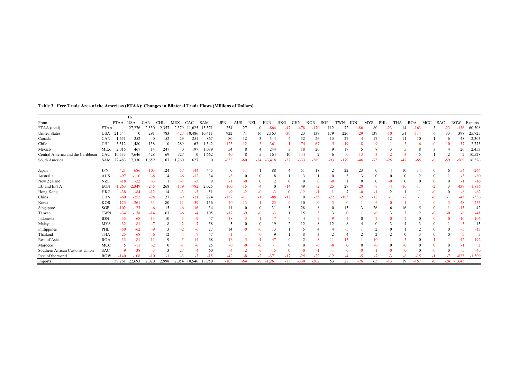**Table 3. Free Trade Area of the Americas (FTAA): Changes in Bilateral Trade Flows (Millions of Dollars)**

|                                   |             |             | Тo       |            |       |        |              |          |          |       |       |                |       |        |        |       |        |       |            |       |            |            |      |          |               |          |
|-----------------------------------|-------------|-------------|----------|------------|-------|--------|--------------|----------|----------|-------|-------|----------------|-------|--------|--------|-------|--------|-------|------------|-------|------------|------------|------|----------|---------------|----------|
| From                              |             | <b>FTAA</b> | USA      | <b>CAN</b> | CHL   | MEX    | <b>CAC</b>   | SAM      | JPN      | AUS   | NZL   | EUN            | HKG   | CHN    | KOR    | SGP   | TWN    | IDN   | <b>MYS</b> | PHL   | <b>THA</b> | <b>ROA</b> | MCC  | SAC      | <b>ROW</b>    | Exports  |
| FTAA (total)                      | <b>FTAA</b> |             | 27,276   | 2,530      | 2,357 | 2,379  | 11,625       | 15,57    | 254      | 27    |       | -864           | $-47$ | $-478$ | $-170$ | 112   | 72     | -86   | 80         | -23   |            | $-163$     |      | $-23$    | $-136$        | 60,308   |
| <b>United States</b>              | <b>USA</b>  | 21,544      |          | 291        | 783   | $-427$ | 10,486       | 10,41    | 922      | 71    | 16    | 2,163          | $-30$ | 23     | 137    | 179   | 226    | $-29$ | 139        | $-10$ | 51         | $-114$     |      | 33       | 398           | 25,725   |
| Canada                            | CAN         | 1,651       | 352      | $\theta$   | 152   | 29     | 251          | 867      | 80       |       |       | 344            |       | 32     | 26     | 15    | 27     |       |            | 12    | 11         | 10         |      |          | 48            | 2,303    |
| Chile                             | <b>CHL</b>  | 3,512       | 1,480    | 138        |       | 289    | 63           | 1,542    | $-123$   | -12   |       | $-361$         |       | $-74$  | -67    | -5    | -19    |       |            |       |            | -6         |      | -10      | -37           | 2,773    |
| Mexico                            | <b>MEX</b>  | 2,015       | 467      | 14         | 247   | -0     | 197          | 1,089    | 54       | ×     |       | 244            | 3     | 18     | 20     |       |        |       |            |       |            | 8          |      |          | 26            | 2,453    |
| Central America and the Caribbean | <b>CAC</b>  | 10.533      | 7,646    | 428        | -69   | 727    |              | 1,662    | $-40$    | ŏ     |       | 164            | 10    | $-144$ |        |       |        |       |            |       | -3         |            |      |          |               | 10,528   |
| South America                     | <b>SAM</b>  | 22,483      | 17,330   | .659       | ,107  | 1,760  | 627          | $\Omega$ | $-638$   | -60   | $-24$ | $-3,418$       | -32   | $-333$ | $-289$ | $-93$ | $-179$ | -46   | -73        | -25   |            | $-65$      | -8   | $-59$    | $-569$        | 16,526   |
|                                   |             |             |          |            |       |        |              |          |          |       |       |                |       |        |        |       |        |       |            |       |            |            |      |          |               |          |
| Japan                             | <b>JPN</b>  | $-421$      | -686     | -103       | 124   |        | $-144$       | 445      | $\Omega$ | $-1$  |       | 88             |       | 51     | 18     |       | 22     | 23    |            |       |            | 14         |      |          | -54           | $-244$   |
| Australia                         | AUS         | $-97$       | $-110$   | -8         |       |        |              | 34       | -3       |       |       |                |       |        |        |       |        |       |            |       |            |            |      |          |               | $-80$    |
| New Zealand                       | <b>NZL</b>  | $-18$       | $-22$    | -3         |       |        | -3           |          | -1       |       |       |                |       |        |        | -0    |        |       |            | $-0$  |            |            |      | $\theta$ |               | $-16$    |
| EU and EFTA                       | <b>EUN</b>  | $-1,263$    | $-2,349$ | -245       | 268   | -179   | $-782$       | 2,025    | $-100$   |       |       |                |       | 49     | -2     | $-25$ | 27     | $-20$ |            |       |            | ыu         |      |          | $-439$        | $-1,836$ |
| Hong Kong                         | <b>HKG</b>  | $-38$       | -84      | -12        | 14    | $-5$   | - 5          | 51       | -9       |       |       | $-5$           |       | -12    |        |       |        |       |            |       |            |            |      | $\Omega$ |               | $-62$    |
| China                             | <b>CHN</b>  | $-60$       | $-252$   | $-28$      | 27    | -9     | $-21$        | 224      | $-137$   | -11   |       | -88            | $-12$ |        | $-35$  | $-22$ | $-103$ |       |            |       |            |            |      |          | -45           | $-536$   |
| Korea                             | <b>KOR</b>  | $-125$      | $-261$   | $-31$      | 80    | -11    | $-39$        | 136      | $-40$    | -13   |       | -25            | $-0$  | 10     |        | - 4   |        |       |            |       |            |            |      |          | -48           | $-253$   |
| Singapore                         | <b>SGP</b>  | $-102$      | $-123$   | -6         | 15    | -b     | $-16$        | 34       | 11       |       |       | $\mathfrak{Z}$ |       | 28     | 8      |       | 15     |       | 26         |       |            |            |      |          | -13           | 42       |
| Taiwan                            | <b>TWN</b>  | $-34$       | $-178$   | -14        | 63    | -6     | -4           | 105      | -17      |       |       | $-3$           |       | 15     |        |       |        |       |            |       |            |            |      |          | -6            | $-41$    |
| Indonesia                         | <b>IDN</b>  | $-35$       | $-68$    | -13        |       | -3     | -9           | 47       | $-18$    |       |       |                |       |        |        |       |        |       |            |       |            |            |      | -0       | -10           | $-106$   |
| Malaysia                          | <b>MYS</b>  | $-32$       | $-81$    | $-7$       | 8     | -2     | -7           | 58       | 5        |       |       | 19             |       | 12     | 8      | 12    | 8      |       |            |       |            |            |      |          |               | 45       |
| Philippines                       | PHL         | $-50$       | $-62$    | -9         |       |        | $-6$         | 27       | 14       |       |       | 13             |       |        |        |       | -5     |       |            |       |            |            |      | $\theta$ |               | $-13$    |
| Thailand                          | <b>THA</b>  | $-25$       | -68      | -6         |       |        | $-1$         | 47       | $-1$     |       |       |                |       |        |        |       |        |       |            |       |            |            |      | $\Omega$ |               | -5       |
| Rest of Asia                      | <b>ROA</b>  | $-33$       | $-81$    | -11        |       | -7     | $-14$        | 68       | $-16$    |       |       | $-47$          |       |        | -8     |       |        |       |            |       | -3         |            |      |          | -42           | $-192$   |
| Morocco                           | <b>MCC</b>  |             | -11      |            |       |        | $-6$         | 25       | $-0$     |       |       |                |       |        | -0     |       |        |       |            |       | $-0$       |            |      | $\Omega$ |               |          |
| Southern African Customs Union    | <b>SAC</b>  | -9          | $-38$    | -3         |       |        |              | 60       | -4       |       |       | -15            |       |        |        |       |        |       |            |       |            |            |      |          |               |          |
| Rest of the world                 | <b>ROW</b>  | $-140$      | $-108$   | $-10$      |       |        |              | -15      | $-42$    | $-8$  |       | $-37$          | $-17$ | $-25$  | $-22$  | $-12$ |        | -5    |            | $-3$  | -6         | $-15$      |      | $-7$     | $-823$        | $-1,509$ |
| Imports                           |             | 59,261      | 22,693   | 2,020      | 2,998 |        | 2,054 10,546 | 18,950   | $-105$   | $-54$ | -9    | $-1,26$        | -73   | $-330$ | $-202$ | 53    | 28     | $-76$ | 65         | -13   | 19         | $-157$     | $-0$ |          | $-24 - 1,645$ |          |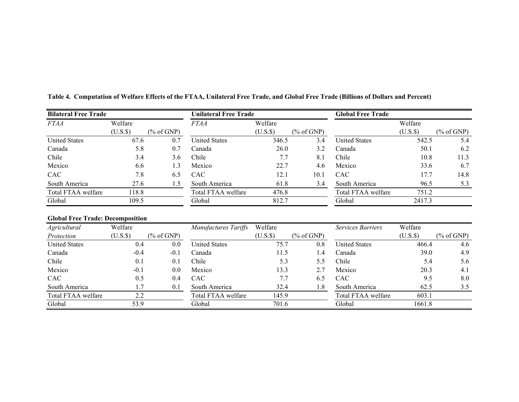| <b>Bilateral Free Trade</b>             |              |               | <b>Unilateral Free Trade</b> |          |               | <b>Global Free Trade</b> |          |                        |
|-----------------------------------------|--------------|---------------|------------------------------|----------|---------------|--------------------------|----------|------------------------|
| <i>FTAA</i>                             | Welfare      |               | <b>FTAA</b>                  | Welfare  |               |                          | Welfare  |                        |
|                                         | $(U.S.\$     | $(\%$ of GNP) |                              | $(U.S.\$ | $(\%$ of GNP) |                          | $(U.S.\$ | $(% ^{0}\circ$ of GNP) |
| <b>United States</b>                    | 67.6         | 0.7           | <b>United States</b>         | 346.5    | 3.4           | <b>United States</b>     | 542.5    | 5.4                    |
| Canada                                  | 5.8          | 0.7           | Canada                       | 26.0     | 3.2           | Canada                   | 50.1     | 6.2                    |
| Chile                                   | 3.4          | 3.6           | Chile                        | 7.7      | 8.1           | Chile                    | 10.8     | 11.3                   |
| Mexico                                  | 6.6          | 1.3           | Mexico                       | 22.7     | 4.6           | Mexico                   | 33.6     | 6.7                    |
| <b>CAC</b>                              | 7.8          | 6.5           | <b>CAC</b>                   | 12.1     | 10.1          | CAC                      | 17.7     | 14.8                   |
| South America                           | 27.6         | 1.5           | South America                | 61.8     | 3.4           | South America            | 96.5     | 5.3                    |
| Total FTAA welfare                      | 118.8        |               | Total FTAA welfare           | 476.8    |               | Total FTAA welfare       | 751.2    |                        |
| Global                                  | 109.5        |               | Global                       | 812.7    |               | Global                   | 2417.3   |                        |
| <b>Global Free Trade: Decomposition</b> |              |               |                              |          |               |                          |          |                        |
| Agricultural                            | Welfare      |               | Manufactures Tariffs         | Welfare  |               | Services Barriers        | Welfare  |                        |
| Protection                              | $(U.S.\$     | $(\%$ of GNP) |                              | $(U.S.\$ | $(\%$ of GNP) |                          | (U.S.S)  | $(% ^{0}\circ$ of GNP) |
| <b>United States</b>                    | 0.4          | 0.0           | <b>United States</b>         | 75.7     | 0.8           | <b>United States</b>     | 466.4    | 4.6                    |
| Canada                                  | $-0.4$       | $-0.1$        | Canada                       | 11.5     | 1.4           | Canada                   | 39.0     | 4.9                    |
| Chile                                   | 0.1          | 0.1           | Chile                        | 5.3      | 5.5           | Chile                    | 5.4      | 5.6                    |
| $\mathbf{M}$                            | $^{\circ}$ 1 | $\Omega$      | $\mathbf{M}$                 | 122      | $\sim$ $\sim$ | $\mathbf{M}$             | 20.2     | $\overline{4}$ 1       |

**Table 4. Computation of Welfare Effects of the FTAA, Unilateral Free Trade, and Global Free Trade (Billions of Dollars and Percent)**

| Agricultural         | Welfare  |               | Manufactures Tariffs | Welfare  |                       | Services Barriers    | Welfare  |               |
|----------------------|----------|---------------|----------------------|----------|-----------------------|----------------------|----------|---------------|
| Protection           | $(U.S.\$ | $(\%$ of GNP) |                      | $(U.S.\$ | $(\% \text{ of GNP})$ |                      | $(U.S.\$ | $(\%$ of GNP) |
| <b>United States</b> | 0.4      | 0.0           | <b>United States</b> | 75.7     | 0.8                   | <b>United States</b> | 466.4    | 4.6           |
| Canada               | $-0.4$   | $-0.1$        | Canada               | 11.5     | 1.4                   | Canada               | 39.0     | 4.9           |
| Chile                | 0.1      | 0.1           | Chile                | 5.3      | 5.5                   | Chile                | 5.4      | 5.6           |
| Mexico               | $-0.1$   | 0.0           | Mexico               | 13.3     | 2.7                   | Mexico               | 20.3     | 4.1           |
| <b>CAC</b>           | 0.5      | 0.4           | <b>CAC</b>           | 7.7      | 6.5                   | <b>CAC</b>           | 9.5      | 8.0           |
| South America        | 1.7      | 0.1           | South America        | 32.4     | 1.8                   | South America        | 62.5     | 3.5           |
| Total FTAA welfare   | 2.2      |               | Total FTAA welfare   | 145.9    |                       | Total FTAA welfare   | 603.1    |               |
| Global               | 53.9     |               | Global               | 701.6    |                       | Global               | 1661.8   |               |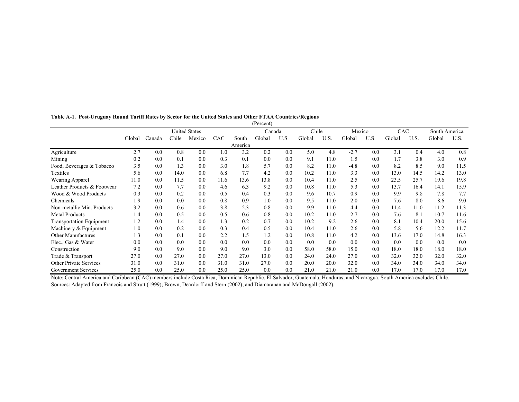|                                 |        |        |       |                      |      |         | (Percent) |      |        |      |        |      |        |      |               |      |
|---------------------------------|--------|--------|-------|----------------------|------|---------|-----------|------|--------|------|--------|------|--------|------|---------------|------|
|                                 |        |        |       | <b>United States</b> |      |         | Canada    |      | Chile  |      | Mexico |      | CAC    |      | South America |      |
|                                 | Global | Canada | Chile | Mexico               | CAC  | South   | Global    | U.S. | Global | U.S. | Global | U.S. | Global | U.S. | Global        | U.S. |
|                                 |        |        |       |                      |      | America |           |      |        |      |        |      |        |      |               |      |
| Agriculture                     | 2.7    | 0.0    | 0.8   | 0.0                  | 1.0  | 3.2     | 0.2       | 0.0  | 5.0    | 4.8  | $-2.7$ | 0.0  | 3.1    | 0.4  | 4.0           | 0.8  |
| Mining                          | 0.2    | 0.0    | 0.1   | 0.0                  | 0.3  | 0.1     | 0.0       | 0.0  | 9.1    | 11.0 | 1.5    | 0.0  | 1.7    | 3.8  | 3.0           | 0.9  |
| Food, Beverages & Tobacco       | 3.5    | 0.0    | 1.3   | 0.0                  | 3.0  | 1.8     | 5.7       | 0.0  | 8.2    | 11.0 | $-4.8$ | 0.0  | 8.2    | 8.5  | 9.0           | 11.5 |
| Textiles                        | 5.6    | 0.0    | 14.0  | 0.0                  | 6.8  | 7.7     | 4.2       | 0.0  | 10.2   | 11.0 | 3.3    | 0.0  | 13.0   | 14.5 | 14.2          | 13.0 |
| Wearing Apparel                 | 11.0   | 0.0    | 11.5  | 0.0                  | 11.6 | 13.6    | 13.8      | 0.0  | 10.4   | 11.0 | 2.5    | 0.0  | 23.5   | 25.7 | 19.6          | 19.8 |
| Leather Products & Footwear     | 7.2    | 0.0    | 7.7   | 0.0                  | 4.6  | 6.3     | 9.2       | 0.0  | 10.8   | 11.0 | 5.3    | 0.0  | 13.7   | 16.4 | 14.1          | 15.9 |
| Wood & Wood Products            | 0.3    | 0.0    | 0.2   | 0.0                  | 0.5  | 0.4     | 0.3       | 0.0  | 9.6    | 10.7 | 0.9    | 0.0  | 9.9    | 9.8  | 7.8           | 7.7  |
| Chemicals                       | 1.9    | 0.0    | 0.0   | 0.0                  | 0.8  | 0.9     | 1.0       | 0.0  | 9.5    | 11.0 | 2.0    | 0.0  | 7.6    | 8.0  | 8.6           | 9.0  |
| Non-metallic Min. Products      | 3.2    | 0.0    | 0.6   | 0.0                  | 3.8  | 2.3     | 0.8       | 0.0  | 9.9    | 11.0 | 4.4    | 0.0  | 11.4   | 11.0 | 11.2          | 11.3 |
| <b>Metal Products</b>           | 1.4    | 0.0    | 0.5   | 0.0                  | 0.5  | 0.6     | 0.8       | 0.0  | 10.2   | 11.0 | 2.7    | 0.0  | 7.6    | 8.1  | 10.7          | 11.6 |
| <b>Transportation Equipment</b> | 1.2    | 0.0    | 1.4   | 0.0                  | 1.3  | 0.2     | 0.7       | 0.0  | 10.2   | 9.2  | 2.6    | 0.0  | 8.1    | 10.4 | 20.0          | 15.6 |
| Machinery & Equipment           | 1.0    | 0.0    | 0.2   | 0.0                  | 0.3  | 0.4     | 0.5       | 0.0  | 10.4   | 11.0 | 2.6    | 0.0  | 5.8    | 5.6  | 12.2          | 11.7 |
| <b>Other Manufactures</b>       | 1.3    | 0.0    | 0.1   | 0.0                  | 2.2  | 1.5     | 1.2       | 0.0  | 10.8   | 11.0 | 4.2    | 0.0  | 13.6   | 17.0 | 14.8          | 16.3 |
| Elec., Gas & Water              | 0.0    | 0.0    | 0.0   | 0.0                  | 0.0  | 0.0     | 0.0       | 0.0  | 0.0    | 0.0  | 0.0    | 0.0  | 0.0    | 0.0  | 0.0           | 0.0  |
| Construction                    | 9.0    | 0.0    | 9.0   | 0.0                  | 9.0  | 9.0     | 3.0       | 0.0  | 58.0   | 58.0 | 15.0   | 0.0  | 18.0   | 18.0 | 18.0          | 18.0 |
| Trade & Transport               | 27.0   | 0.0    | 27.0  | 0.0                  | 27.0 | 27.0    | 13.0      | 0.0  | 24.0   | 24.0 | 27.0   | 0.0  | 32.0   | 32.0 | 32.0          | 32.0 |
| <b>Other Private Services</b>   | 31.0   | 0.0    | 31.0  | 0.0                  | 31.0 | 31.0    | 27.0      | 0.0  | 20.0   | 20.0 | 32.0   | 0.0  | 34.0   | 34.0 | 34.0          | 34.0 |
| Government Services             | 25.0   | 0.0    | 25.0  | 0.0                  | 25.0 | 25.0    | 0.0       | 0.0  | 21.0   | 21.0 | 21.0   | 0.0  | 17.0   | 17.0 | 17.0          | 17.0 |

**Table A-1. Post-Uruguay Round Tariff Rates by Sector for the United States and Other FTAA Countries/Regions**

Note: Central America and Caribbean (CAC) members include Costa Rica, Dominican Republic, El Salvador, Guatemala, Honduras, and Nicaragua. South America excludes Chile. Sources: Adapted from Francois and Strutt (1999); Brown, Deardorff and Stern (2002); and Diamaranan and McDougall (2002).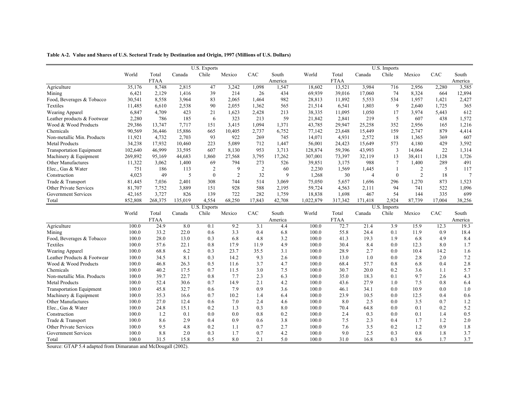**Table A-2. Value and Shares of U.S. Sectoral Trade by Destination and Origin, 1997 (Millions of U.S. Dollars)**

|                                 |         |             |         | <b>U.S. Exports</b> |                |                  |            |                |             |                | U.S. Imports   |                |            |                |
|---------------------------------|---------|-------------|---------|---------------------|----------------|------------------|------------|----------------|-------------|----------------|----------------|----------------|------------|----------------|
|                                 | World   | Total       | Canada  | Chile               | Mexico         | CAC              | South      | World          | Total       | Canada         | Chile          | Mexico         | CAC        | South          |
|                                 |         | <b>FTAA</b> |         |                     |                |                  | America    |                | <b>FTAA</b> |                |                |                |            | America        |
| Agriculture                     | 35,176  | 8,748       | 2,815   | 47                  | 3,242          | 1.098            | 1,547      | 18,602         | 13,521      | 3,984          | 716            | 2,956          | 2,280      | 3,585          |
| Mining                          | 6,421   | 2,129       | 1,416   | 39                  | 214            | 26               | 434        | 69,939         | 39,016      | 17,060         | 74             | 8,324          | 664        | 12,894         |
| Food, Beverages & Tobacco       | 30,541  | 8,558       | 3,964   | 83                  | 2,065          | 1,464            | 982        | 28,813         | 11,892      | 5,553          | 534            | 1,957          | 1,421      | 2,427          |
| Textiles                        | 11,485  | 6,610       | 2,538   | 90                  | 2,055          | 1,362            | 565        | 21,514         | 6,541       | 1,803          | 9              | 2,640          | 1,725      | 365            |
| Wearing Apparel                 | 6,847   | 4,709       | 423     | 21                  | 1,623          | 2,428            | 213        | 38,335         | 11,095      | 1,050          | 17             | 3,974          | 5,443      | 612            |
| Leather products & Footwear     | 2,280   | 786         | 185     | 6                   | 323            | 213              | 59         | 21,842         | 2,841       | 219            | 5              | 607            | 438        | 1,572          |
| Wood & Wood Products            | 29,386  | 13,747      | 7,717   | 151                 | 3,415          | 1,094            | 1,371      | 43,785         | 29,947      | 25,258         | 352            | 2,956          | 165        | 1,216          |
| Chemicals                       | 90,569  | 36,446      | 15,886  | 665                 | 10,405         | 2,737            | 6,752      | 77,142         | 23,648      | 15,449         | 159            | 2,747          | 879        | 4,414          |
| Non-metallic Min. Products      | 11,921  | 4,732       | 2,703   | 93                  | 922            | 269              | 745        | 14,071         | 4,931       | 2,572          | 18             | 1,365          | 369        | 607            |
| <b>Metal Products</b>           | 34,238  | 17,932      | 10,460  | 223                 | 5,089          | 712              | 1,447      | 56,001         | 24,423      | 15,649         | 573            | 4,180          | 429        | 3,592          |
| <b>Transportation Equipment</b> | 102,640 | 46,999      | 33,595  | 607                 | 8,130          | 953              | 3,713      | 128,874        | 59,396      | 43,993         | 3              | 14,064         | 22         | 1,314          |
| Machinery & Equipment           | 269,892 | 95,169      | 44,683  | 1,860               | 27,568         | 3,795            | 17,262     | 307,001        | 73,397      | 32,119         | 13             | 38,411         | 1,128      | 1,726          |
| Other Manufactures              | 11,322  | 3,062       | 1,400   | 69                  | 794            | 273              | 526        | 39,851         | 3,175       | 988            | $\overline{7}$ | 1.400          | 289        | 491            |
| Elec., Gas & Water              | 751     | 186         | 113     | $\overline{2}$      | 9              | $\overline{2}$   | 60         | 2,230          | 1,569       | 1,445          | $\mathbf{1}$   | $\overline{2}$ | 5          | 117            |
| Construction                    | 4,023   | 49          | 5       | $\mathbf{0}$        | $\overline{2}$ | 32               | 9          | 1,268          | 30          | $\overline{4}$ | $\mathbf{0}$   | $\overline{c}$ | 18         | $\overline{7}$ |
| Trade & Transport               | 81,445  | 7.036       | 2.401   | 308                 | 744            | 514              | 3,069      | 75,050         | 5,657       | 1.696          | 296            | 1,270          | 873        | 1,523          |
| <b>Other Private Services</b>   | 81,707  | 7,752       | 3,889   | 151                 | 928            | 588              | 2,195      | 59,724         | 4,563       | 2,111          | 94             | 741            | 522        | 1,096          |
| Government Services             | 42,165  | 3,727       | 826     | 139                 | 722            | 282              | 1,759      | 18,838         | 1,698       | 467            | 54             | 144            | 335        | 699            |
| Total                           | 852,808 | 268,375     | 135,019 | 4,554               | 68,250         | 17,843           | 42,708     | 1,022,879      | 317,342     | 171,418        | 2,924          | 87,739         | 17,004     | 38,256         |
|                                 |         |             |         | <b>U.S. Exports</b> |                |                  |            |                |             |                | U.S. Imports   |                |            |                |
|                                 | World   | Total       | Canada  | Chile               | Mexico         | CAC              | South      | World          | Total       | Canada         | Chile          | Mexico         | CAC        | South          |
|                                 |         | <b>FTAA</b> |         |                     |                |                  | America    |                | <b>FTAA</b> |                |                |                |            | America        |
| Agriculture                     | 100.0   | 24.9        | 8.0     | 0.1                 | 9.2            | $\overline{3.1}$ | 4.4        | 100.0          | 72.7        | 21.4           | 3.9            | 15.9           | 12.3       | 19.3           |
| Mining                          | 100.0   | 33.2        | 22.0    | 0.6                 | 3.3            | 0.4              | 6.8        | 100.0          | 55.8        | 24.4           | 0.1            | 11.9           | 0.9        | 18.4           |
| Food, Beverages & Tobacco       | 100.0   | 28.0        | 13.0    | 0.3                 | 6.8            | 4.8              | 3.2        | 100.0          | 41.3        | 19.3           | 1.9            | 6.8            | 4.9        | 8.4            |
| Textiles                        | 100.0   | 57.6        | 22.1    | 0.8                 | 17.9           | 11.9             | 4.9        | 100.0          | 30.4        | 8.4            | 0.0            | 12.3           | 8.0        | 1.7            |
| Wearing Apparel                 | 100.0   | 68.8        | 6.2     | 0.3                 | 23.7           | 35.5             | 3.1        | 100.0          | 28.9        | 2.7            | 0.0            | 10.4           | 14.2       | 1.6            |
| Leather Products & Footwear     | 100.0   | 34.5        | 8.1     | 0.3                 | 14.2           | 9.3              | 2.6        | 100.0          | 13.0        | 1.0            | 0.0            | 2.8            | 2.0        | 7.2            |
| Wood & Wood Products            | 100.0   | 46.8        | 26.3    | 0.5                 | 11.6           | 3.7              | 4.7        | 100.0          | 68.4        | 57.7           | 0.8            | 6.8            | 0.4        | 2.8            |
| Chemicals                       | 100.0   | 40.2        | 17.5    | 0.7                 | 11.5           | 3.0              | 7.5        | 100.0          | 30.7        | 20.0           | 0.2            | 3.6            | 1.1        | 5.7            |
| Non-metallic Min. Products      | 100.0   | 39.7        | 22.7    | 0.8                 | 7.7            | 2.3              | 6.3        | 100.0          | 35.0        | 18.3           | 0.1            | 9.7            | 2.6        | 4.3            |
| <b>Metal Products</b>           | 100.0   | 52.4        | 30.6    | 0.7                 | 14.9           | 2.1              | 4.2        | 100.0          | 43.6        | 27.9           | 1.0            | 7.5            | 0.8        | 6.4            |
| <b>Transportation Equipment</b> | 100.0   | 45.8        | 32.7    | 0.6                 | 7.9            | 0.9              | 3.6        | 100.0          | 46.1        | 34.1           | 0.0            | 10.9           | 0.0        | 1.0            |
| Machinery & Equipment           | 100.0   | 35.3        | 16.6    | 0.7                 | 10.2           | 1.4              | 6.4        | 100.0          | 23.9        | 10.5           | 0.0            | 12.5           | 0.4        | 0.6            |
| <b>Other Manufactures</b>       | 100.0   | 27.0        | 12.4    | 0.6                 | 7.0            | 2.4              | 4.6        | 100.0          | 8.0         | 2.5            | 0.0            | 3.5            | 0.7        | 1.2            |
| Elec., Gas & Water              | 100.0   | 24.8        | 15.1    | 0.2                 | 1.3            | 0.3              | 8.0        | 100.0          | 70.4        | 64.8           | 0.0            | 0.1            | 0.2        | 5.2            |
| Construction                    | 100.0   | 1.2         | 0.1     | 0.0                 | 0.0            | 0.8              | 0.2        | 100.0          | 2.4         | 0.3            | 0.0            | 0.1            | 1.4        | 0.5            |
| Trade & Transport               | 100.0   | 8.6<br>9.5  | 2.9     | 0.4                 | 0.9            | 0.6              | 3.8<br>2.7 | 100.0<br>100.0 | 7.5<br>7.6  | 2.3<br>3.5     | 0.4            | 1.7<br>1.2     | 1.2<br>0.9 | 2.0            |
| <b>Other Private Services</b>   | 100.0   |             | 4.8     | 0.2                 | 1.1            | 0.7              |            |                | 9.0         | 2.5            | 0.2            |                |            | 1.8            |
| Government Services             | 100.0   | 8.8         | 2.0     | 0.3                 | 1.7            | 0.7              | 4.2        | 100.0          |             |                | 0.3            | 0.8            | 1.8        | 3.7<br>3.7     |
| Total                           | 100.0   | 31.5        | 15.8    | 0.5                 | 8.0            | 2.1              | 5.0        | 100.0          | 31.0        | 16.8           | 0.3            | 8.6            | 1.7        |                |

Source: GTAP 5.4 adapted from Dimaranan and McDougall (2002).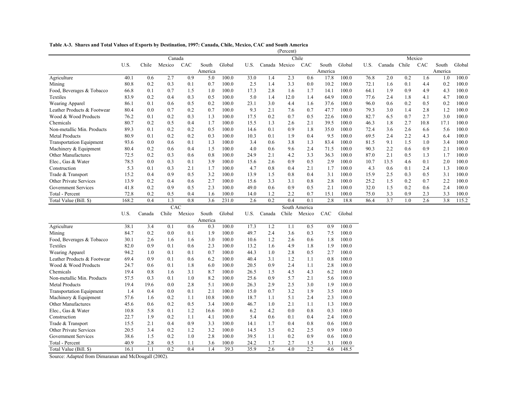**Table A-3. Shares and Total Values of Exports by Destination, 1997: Canada, Chile, Mexico, CAC and South America**

|                                 |       |        |        |        |                  |        |      |        | (Percent)     |               |                  |        |      |        |       |        |                  |        |
|---------------------------------|-------|--------|--------|--------|------------------|--------|------|--------|---------------|---------------|------------------|--------|------|--------|-------|--------|------------------|--------|
|                                 |       |        |        | Canada |                  |        |      |        |               | Chile         |                  |        |      |        |       | Mexico |                  |        |
|                                 | U.S.  | Chile  | Mexico | CAC    | South<br>America | Global | U.S. |        | Canada Mexico | CAC           | South<br>America | Global | U.S. | Canada | Chile | CAC    | South<br>America | Global |
| Agriculture                     | 40.1  | 0.6    | 2.7    | 0.9    | 5.0              | 100.0  | 33.0 | 1.4    | 2.3           | 0.6           | 17.8             | 100.0  | 76.8 | 2.0    | 0.2   | 1.6    | 1.0              | 100.0  |
| Mining                          | 80.8  | 0.2    | 0.3    | 0.1    | 0.7              | 100.0  | 2.5  | 1.4    | 3.3           | 0.0           | 10.2             | 100.0  | 72.1 | 1.6    | 0.1   | 4.4    | 0.2              | 100.0  |
| Food, Beverages & Tobacco       | 66.8  | 0.1    | 0.7    | 1.5    | 1.0              | 100.0  | 17.3 | 2.8    | 1.6           | 1.7           | 14.1             | 100.0  | 64.1 | 1.9    | 0.9   | 4.9    | 4.3              | 100.0  |
| <b>Textiles</b>                 | 83.9  | 0.2    | 0.4    | 0.3    | 0.5              | 100.0  | 5.0  | 1.4    | 12.0          | 1.4           | 64.9             | 100.0  | 77.6 | 2.4    | 1.8   | 4.1    | 4.7              | 100.0  |
| Wearing Apparel                 | 86.1  | 0.1    | 0.6    | 0.5    | 0.2              | 100.0  | 23.1 | 3.0    | 4.4           | 1.6           | 37.6             | 100.0  | 96.0 | 0.6    | 0.2   | 0.5    | 0.2              | 100.0  |
| Leather Products & Footwear     | 80.4  | 0.0    | 0.7    | 0.2    | 0.7              | 100.0  | 9.3  | 2.1    | 7.6           | 0.7           | 47.7             | 100.0  | 79.3 | 3.0    | 1.4   | 2.8    | 1.2              | 100.0  |
| Wood & Wood Products            | 76.2  | 0.1    | 0.2    | 0.3    | 1.3              | 100.0  | 17.5 | 0.2    | 0.7           | 0.5           | 22.6             | 100.0  | 82.7 | 6.5    | 0.7   | 2.7    | 3.0              | 100.0  |
| Chemicals                       | 80.7  | 0.2    | 0.5    | 0.4    | 1.7              | 100.0  | 15.5 | 1.3    | 2.6           | 2.1           | 39.5             | 100.0  | 46.3 | 1.8    | 2.7   | 10.8   | 17.1             | 100.0  |
| Non-metallic Min. Products      | 89.3  | 0.1    | 0.2    | 0.2    | 0.5              | 100.0  | 14.6 | 0.1    | 0.9           | 1.8           | 35.0             | 100.0  | 72.4 | 3.6    | 2.6   | 6.6    | 5.6              | 100.0  |
| Metal Products                  | 80.9  | 0.1    | 0.2    | 0.2    | 0.3              | 100.0  | 10.3 | 0.1    | 1.9           | 0.4           | 9.5              | 100.0  | 69.5 | 2.4    | 2.2   | 4.3    | 6.4              | 100.0  |
| <b>Transportation Equipment</b> | 93.6  | 0.0    | 0.6    | 0.1    | 1.3              | 100.0  | 3.4  | 0.6    | 3.8           | 1.3           | 83.4             | 100.0  | 81.5 | 9.1    | 1.5   | 1.0    | 3.4              | 100.0  |
| Machinery & Equipment           | 80.4  | 0.2    | 0.6    | 0.4    | 1.5              | 100.0  | 4.0  | 0.6    | 9.6           | 2.4           | 71.5             | 100.0  | 90.3 | 2.2    | 0.6   | 0.9    | 2.1              | 100.0  |
| Other Manufactures              | 72.5  | 0.2    | 0.3    | 0.6    | 0.8              | 100.0  | 24.9 | 2.1    | 4.2           | 3.3           | 36.3             | 100.0  | 87.0 | 2.1    | 0.5   | 1.3    | 1.7              | 100.0  |
| Elec., Gas & Water              | 78.5  | 0.0    | 0.3    | 0.1    | 3.9              | 100.0  | 15.6 | 2.6    | 0.9           | 0.5           | 2.9              | 100.0  | 10.7 | 13.5   | 4.6   | 0.1    | 2.0              | 100.0  |
| Construction                    | 5.3   | 0.1    | 0.3    | 2.1    | 1.7              | 100.0  | 4.7  | 0.8    | 0.4           | 2.1           | 1.7              | 100.0  | 4.3  | 0.6    | 0.1   | 2.4    | 1.3              | 100.0  |
| Trade & Transport               | 15.2  | 0.4    | 0.9    | 0.5    | 3.2              | 100.0  | 13.9 | 1.5    | 0.8           | 0.4           | 3.1              | 100.0  | 15.9 | 2.5    | 0.3   | 0.5    | 3.1              | 100.0  |
| <b>Other Private Services</b>   | 13.9  | 0.2    | 0.4    | 0.6    | 2.7              | 100.0  | 15.6 | 3.3    | 3.1           | 0.8           | 2.8              | 100.0  | 25.2 | 1.5    | 0.2   | 0.7    | 2.2              | 100.0  |
| <b>Government Services</b>      | 41.8  | 0.2    | 0.9    | 0.5    | 2.3              | 100.0  | 49.0 | 0.6    | 0.9           | 0.5           | 2.1              | 100.0  | 32.0 | 1.5    | 0.2   | 0.6    | 2.4              | 100.0  |
| Total - Percent                 | 72.8  | 0.2    | 0.5    | 0.4    | 1.6              | 100.0  | 14.0 | 1.2    | 2.2           | 0.7           | 15.1             | 100.0  | 75.0 | 3.3    | 0.9   | 2.3    | 3.3              | 100.0  |
| Total Value (Bill. \$)          | 168.2 | 0.4    | 1.3    | 0.8    | 3.6              | 231.0  | 2.6  | 0.2    | 0.4           | 0.1           | 2.8              | 18.8   | 86.4 | 3.7    | 1.0   | 2.6    | 3.8              | 115.2  |
|                                 |       |        |        | CAC    |                  |        |      |        |               | South America |                  |        |      |        |       |        |                  |        |
|                                 | U.S.  | Canada | Chile  | Mexico | South            | Global | U.S. | Canada | Chile         | Mexico        | CAC              | Global |      |        |       |        |                  |        |
|                                 |       |        |        |        | America          |        |      |        |               |               |                  |        |      |        |       |        |                  |        |
| Agriculture                     | 38.1  | 3.4    | 0.1    | 0.6    | 0.3              | 100.0  | 17.3 | $1.2$  | 1.1           | 0.5           | 0.9              | 100.0  |      |        |       |        |                  |        |
| Mining                          | 84.7  | 0.2    | 0.0    | 0.1    | 1.9              | 100.0  | 49.7 | 2.4    | 3.6           | 0.3           | 7.5              | 100.0  |      |        |       |        |                  |        |
| Food, Beverages & Tobacco       | 30.1  | 2.6    | 1.6    | 1.6    | 3.0              | 100.0  | 10.6 | 1.2    | 2.6           | 0.6           | 1.8              | 100.0  |      |        |       |        |                  |        |
| Textiles                        | 82.0  | 0.9    | 0.1    | 0.6    | 2.3              | 100.0  | 13.2 | 1.6    | 4.9           | 1.8           | 1.9              | 100.0  |      |        |       |        |                  |        |
| Wearing Apparel                 | 94.2  | 1.0    | 0.1    | 0.1    | 0.7              | 100.0  | 44.3 | 1.0    | 2.8           | 0.5           | 2.7              | 100.0  |      |        |       |        |                  |        |
| Leather Products & Footwear     | 69.4  | 0.9    | 0.1    | 0.6    | 6.2              | 100.0  | 40.4 | 3.1    | 1.2           | 1.1           | 0.8              | 100.0  |      |        |       |        |                  |        |
| Wood & Wood Products            | 24.7  | 0.6    | 0.1    | 1.8    | 6.0              | 100.0  | 20.5 | 0.9    | 2.4           | 1.1           | 2.8              | 100.0  |      |        |       |        |                  |        |
| Chemicals                       | 19.4  | 0.8    | 1.6    | 3.1    | 8.7              | 100.0  | 26.5 | 1.5    | 4.5           | 4.3           | 6.2              | 100.0  |      |        |       |        |                  |        |
| Non-metallic Min. Products      | 57.5  | 0.3    | 0.1    | 1.0    | 8.2              | 100.0  | 25.6 | 0.9    | 5.7           | 2.1           | 5.6              | 100.0  |      |        |       |        |                  |        |
| <b>Metal Products</b>           | 19.4  | 19.6   | 0.0    | 2.8    | 5.1              | 100.0  | 26.3 | 2.9    | 2.5           | 3.0           | 1.9              | 100.0  |      |        |       |        |                  |        |
| <b>Transportation Equipment</b> | 1.4   | 0.4    | 0.0    | 0.1    | 2.1              | 100.0  | 15.0 | 0.7    | 3.2           | 1.9           | 3.5              | 100.0  |      |        |       |        |                  |        |
| Machinery & Equipment           | 57.6  | 1.6    | 0.2    | 1.1    | 10.8             | 100.0  | 18.7 | 1.1    | 5.1           | 2.4           | 2.3              | 100.0  |      |        |       |        |                  |        |
| <b>Other Manufactures</b>       | 45.6  | 0.6    | 0.2    | 0.5    | 3.4              | 100.0  | 46.7 | 1.0    | 2.1           | 1.1           | 1.3              | 100.0  |      |        |       |        |                  |        |
| Elec., Gas & Water              | 10.8  | 5.8    | 0.1    | 1.2    | 16.6             | 100.0  | 6.2  | 4.2    | 0.0           | 0.8           | 0.3              | 100.0  |      |        |       |        |                  |        |
| Construction                    | 22.7  | 1.9    | 0.2    | 1.1    | 4.1              | 100.0  | 5.4  | 0.6    | 0.1           | 0.4           | 2.4              | 100.0  |      |        |       |        |                  |        |
| Trade & Transport               | 15.5  | 2.1    | 0.4    | 0.9    | 3.3              | 100.0  | 14.1 | 1.7    | 0.4           | 0.8           | 0.6              | 100.0  |      |        |       |        |                  |        |
| Other Private Services          | 20.5  | 3.4    | 0.2    | 1.2    | 3.2              | 100.0  | 14.5 | 3.5    | 0.2           | 2.5           | 0.9              | 100.0  |      |        |       |        |                  |        |
| <b>Government Services</b>      | 38.6  | 1.5    | 0.2    | 1.0    | 2.8              | 100.0  | 39.5 | 1.1    | 0.2           | 0.9           | 0.6              | 100.0  |      |        |       |        |                  |        |
| Total - Percent                 | 40.9  | 2.8    | 0.5    | 1.1    | 3.6              | 100.0  | 24.2 | 1.7    | 2.7           | 1.5           | 3.1              | 100.0  |      |        |       |        |                  |        |
| Total Value (Bill. \$)          | 16.1  | 1.1    | 0.2    | 0.4    | 1.4              | 39.3   | 35.9 | 2.6    | 4.0           | 2.2           | 4.6              | 148.5  |      |        |       |        |                  |        |

Source: Adapted from Dimaranan and McDougall (2002).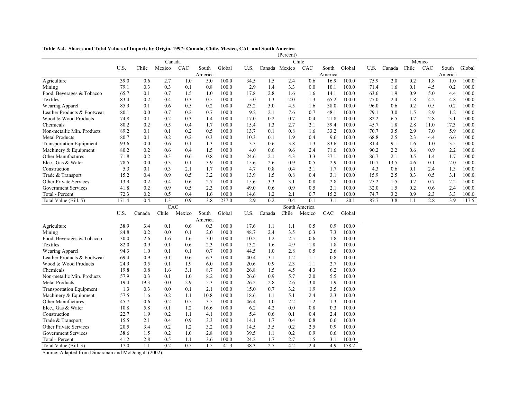**Table A-4. Shares and Total Values of Imports by Origin, 1997: Canada, Chile, Mexico, CAC and South America**

|                                 |              |            |            |            |                         |                |              |               | (Percent)  |               |                  |                |      |        |       |        |         |        |
|---------------------------------|--------------|------------|------------|------------|-------------------------|----------------|--------------|---------------|------------|---------------|------------------|----------------|------|--------|-------|--------|---------|--------|
|                                 |              |            |            | Canada     |                         |                |              |               |            | Chile         |                  |                |      |        |       | Mexico |         |        |
|                                 | U.S.         | Chile      | Mexico     | CAC        | South                   | Global         | U.S.         | Canada Mexico |            | CAC           | South            | Global         | U.S. | Canada | Chile | CAC    | South   | Global |
|                                 |              |            |            |            | America                 |                |              |               |            |               | America          |                |      |        |       |        | America |        |
| Agriculture                     | 39.0         | 0.6        | 2.7        | 1.0        | 5.0                     | 100.0          | 34.5         | 1.5           | 2.4        | 0.6           | 16.9             | 100.0          | 75.9 | 2.0    | 0.2   | 1.8    | 1.0     | 100.0  |
| Mining                          | 79.1         | 0.3        | 0.3        | 0.1        | 0.8                     | 100.0          | 2.9          | 1.4           | 3.3        | 0.0           | 10.1             | 100.0          | 71.4 | 1.6    | 0.1   | 4.5    | 0.2     | 100.0  |
| Food, Beverages & Tobacco       | 65.7         | 0.1        | 0.7        | 1.5        | 1.0                     | 100.0          | 17.8         | 2.8           | 1.6        | 1.6           | 14.1             | 100.0          | 63.6 | 1.9    | 0.9   | 5.0    | 4.4     | 100.0  |
| Textiles                        | 83.4         | 0.2        | 0.4        | 0.3        | 0.5                     | 100.0          | 5.0          | 1.3           | 12.0       | 1.3           | 65.2             | 100.0          | 77.0 | 2.4    | 1.8   | 4.2    | 4.8     | 100.0  |
| Wearing Apparel                 | 85.9         | 0.1        | 0.6        | 0.5        | 0.2                     | 100.0          | 23.2         | 3.0           | 4.5        | 1.6           | 38.0             | 100.0          | 96.0 | 0.6    | 0.2   | 0.5    | 0.2     | 100.0  |
| Leather Products & Footwear     | 80.1         | 0.0        | 0.7        | 0.2        | 0.7                     | 100.0          | 9.2          | 2.1           | 7.6        | 0.7           | 48.1             | 100.0          | 79.1 | 3.0    | 1.5   | 2.9    | 1.2     | 100.0  |
| Wood & Wood Products            | 74.8         | 0.1        | 0.2        | 0.3        | 1.4                     | 100.0          | 17.0         | 0.2           | 0.7        | 0.4           | 21.8             | 100.0          | 82.2 | 6.5    | 0.7   | 2.8    | 3.1     | 100.0  |
| Chemicals                       | 80.2         | 0.2        | 0.5        | 0.4        | 1.7                     | 100.0          | 15.4         | 1.3           | 2.7        | 2.1           | 39.4             | 100.0          | 45.7 | 1.8    | 2.8   | 11.0   | 17.3    | 100.0  |
| Non-metallic Min. Products      | 89.2         | 0.1        | 0.1        | 0.2        | 0.5                     | 100.0          | 13.7         | 0.1           | 0.8        | 1.6           | 33.2             | 100.0          | 70.7 | 3.5    | 2.9   | 7.0    | 5.9     | 100.0  |
| <b>Metal Products</b>           | 80.7         | 0.1        | 0.2        | 0.2        | 0.3                     | 100.0          | 10.3         | 0.1           | 1.9        | 0.4           | 9.6              | 100.0          | 68.8 | 2.5    | 2.3   | 4.4    | 6.6     | 100.0  |
| <b>Transportation Equipment</b> | 93.6         | 0.0        | 0.6        | 0.1        | 1.3                     | 100.0          | 3.3          | 0.6           | 3.8        | 1.3           | 83.6             | 100.0          | 81.4 | 9.1    | 1.6   | 1.0    | 3.5     | 100.0  |
| Machinery & Equipment           | 80.2         | 0.2        | 0.6        | 0.4        | 1.5                     | 100.0          | 4.0          | 0.6           | 9.6        | 2.4           | 71.6             | 100.0          | 90.2 | 2.2    | 0.6   | 0.9    | 2.2     | 100.0  |
| <b>Other Manufactures</b>       | 71.8         | 0.2        | 0.3        | 0.6        | 0.8                     | 100.0          | 24.6         | 2.1           | 4.3        | 3.3           | 37.1             | 100.0          | 86.7 | 2.1    | 0.5   | 1.4    | 1.7     | 100.0  |
| Elec., Gas & Water              | 78.5         | 0.0        | 0.3        | 0.1        | 3.9                     | 100.0          | 15.6         | 2.6           | 0.9        | 0.5           | 2.9              | 100.0          | 10.7 | 13.5   | 4.6   | 0.1    | 2.0     | 100.0  |
| Construction                    | 5.3          | 0.1        | 0.3        | 2.1        | 1.7                     | 100.0          | 4.7          | 0.8           | 0.4        | 2.1           | 1.7              | 100.0          | 4.3  | 0.6    | 0.1   | 2.4    | 1.3     | 100.0  |
| Trade & Transport               | 15.2         | 0.4        | 0.9        | 0.5        | 3.2                     | 100.0          | 13.9         | 1.5           | 0.8        | 0.4           | 3.1              | 100.0          | 15.9 | 2.5    | 0.3   | 0.5    | 3.1     | 100.0  |
| Other Private Services          | 13.9         | 0.2        | 0.4        | 0.6        | 2.7                     | 100.0          | 15.6         | 3.3           | 3.1        | 0.8           | 2.8              | 100.0          | 25.2 | 1.5    | 0.2   | 0.7    | 2.2     | 100.0  |
| Government Services             | 41.8         | 0.2        | 0.9        | 0.5        | 2.3                     | 100.0          | 49.0         | 0.6           | 0.9        | 0.5           | 2.1              | 100.0          | 32.0 | 1.5    | 0.2   | 0.6    | 2.4     | 100.0  |
| Total - Percent                 | 72.3         | 0.2        | 0.5        | 0.4        | 1.6                     | 100.0          | 14.6         | 1.2           | 2.1        | 0.7           | 15.2             | 100.0          | 74.7 | 3.2    | 0.9   | 2.3    | 3.3     | 100.0  |
| Total Value (Bill. \$)          | 171.4        | 0.4        | 1.3        | 0.9        | 3.8                     | 237.0          | 2.9          | 0.2           | 0.4        | 0.1           | 3.1              | 20.1           | 87.7 | 3.8    | 1.1   | 2.8    | 3.9     | 117.5  |
|                                 |              |            | CAC        |            |                         |                |              |               |            | South America |                  |                |      |        |       |        |         |        |
|                                 | U.S.         | Canada     | Chile      | Mexico     | South                   | Global         | U.S.         | Canada        | Chile      | Mexico        | CAC              | Global         |      |        |       |        |         |        |
|                                 |              |            |            |            | America                 |                |              |               |            |               |                  |                |      |        |       |        |         |        |
| Agriculture                     | 38.9         | 3.4        | 0.1        | 0.6        | 0.3                     | 100.0          | 17.6         | 1.1           | 1.1        | 0.5           | $\overline{0.9}$ | 100.0          |      |        |       |        |         |        |
| Mining                          | 84.8         | 0.2        | 0.0        | 0.1        | 2.0                     | 100.0          | 48.7         | 2.4           | 3.5        | 0.3           | 7.3              | 100.0          |      |        |       |        |         |        |
| Food, Beverages & Tobacco       | 30.0         | 2.6        | 1.6        | 1.6        | 3.0                     | 100.0          | 10.2         | 1.2           | 2.5        | 0.6           | 1.8              | 100.0          |      |        |       |        |         |        |
| Textiles                        | 82.0         | 0.9        | 0.1        | 0.6        | 2.3                     | 100.0          | 13.2         | 1.6           | 4.9        | 1.8           | 1.8              | 100.0          |      |        |       |        |         |        |
| Wearing Apparel                 | 94.3         | 1.0        | 0.1        | 0.1        | 0.7                     | 100.0          | 44.5         | 1.0           | 2.8        | 0.5           | 2.6              | 100.0          |      |        |       |        |         |        |
| Leather Products & Footwear     | 69.4         | 0.9        | 0.1        | 0.6        | 6.3                     | 100.0          | 40.4         | 3.1           | 1.2        | 1.1           | 0.8              | 100.0          |      |        |       |        |         |        |
| Wood & Wood Products            | 24.9         | 0.5        | 0.1        | 1.9        | 6.0                     | 100.0          | 20.6         | 0.9           | 2.3        | 1.1           | 2.7              | 100.0          |      |        |       |        |         |        |
| Chemicals                       | 19.8         | 0.8        | 1.6        | 3.1        | 8.7                     | 100.0          | 26.8         | 1.5           | 4.5        | 4.3           | 6.2              | 100.0          |      |        |       |        |         |        |
| Non-metallic Min. Products      | 57.9         | 0.3        | 0.1        | 1.0        | 8.2                     | 100.0          | 26.6         | 0.9           | 5.7        | 2.0           | 5.5              | 100.0          |      |        |       |        |         |        |
| <b>Metal Products</b>           | 19.4         | 19.3       | 0.0        | 2.9        | 5.3                     | 100.0          | 26.2         | 2.8           | 2.6        | 3.0           | 1.9              | 100.0          |      |        |       |        |         |        |
| <b>Transportation Equipment</b> | 1.3          | 0.3        | 0.0        | 0.1        | 2.1                     | 100.0          | 15.0         | 0.7           | 3.2        | 1.9           | 3.5              | 100.0          |      |        |       |        |         |        |
| Machinery & Equipment           | 57.5         | 1.6        | 0.2        | 1.1        | 10.8                    | 100.0          | 18.6         | 1.1           | 5.1        | 2.4           | 2.3              | 100.0          |      |        |       |        |         |        |
| <b>Other Manufactures</b>       | 45.7         | 0.6        | 0.2        | 0.5        | 3.5                     | 100.0          | 46.4         | 1.0           | 2.2        | 1.2           | 1.3              | 100.0          |      |        |       |        |         |        |
| Elec., Gas & Water              | 10.8         | 5.8        | 0.1        | 1.2        | 16.6                    | 100.0          | 6.2          | 4.2           | 0.0        | 0.8           | 0.3              | 100.0          |      |        |       |        |         |        |
| Construction                    | 22.7         | 1.9        | 0.2        | 1.1        | 4.1                     | 100.0          | 5.4          | 0.6           | 0.1        | 0.4           | 2.4              | 100.0          |      |        |       |        |         |        |
| Trade & Transport               | 15.5         | 2.1        | 0.4        | 0.9        | 3.3                     | 100.0          | 14.1         | 1.7           | 0.4        | 0.8           | 0.6              | 100.0          |      |        |       |        |         |        |
| <b>Other Private Services</b>   | 20.5         | 3.4        | 0.2        | 1.2        | 3.2                     | 100.0          | 14.5         | 3.5           | 0.2        | 2.5           | 0.9              | 100.0          |      |        |       |        |         |        |
| <b>Government Services</b>      | 38.6<br>41.2 | 1.5        | 0.2<br>0.5 | 1.0        | 2.8                     | 100.0<br>100.0 | 39.5         | 1.1           | 0.2        | 0.9           | 0.6              | 100.0          |      |        |       |        |         |        |
| Total - Percent                 | 17.0         | 2.8<br>1.1 | 0.2        | 1.1<br>0.5 | 3.6<br>$\overline{1.5}$ | 41.3           | 24.2<br>38.3 | 1.7<br>2.7    | 2.7<br>4.2 | 1.5<br>2.4    | 3.1<br>4.9       | 100.0<br>158.2 |      |        |       |        |         |        |
| Total Value (Bill. \$)          |              |            |            |            |                         |                |              |               |            |               |                  |                |      |        |       |        |         |        |

Source: Adapted from Dimaranan and McDougall (2002).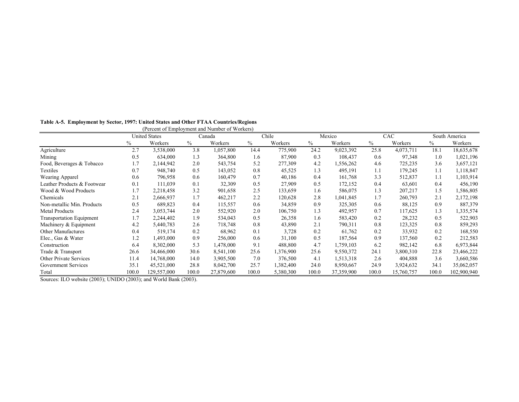|                                 |               | $\alpha$ creent of Employment and Funloce of $\alpha$ orders<br>United States |       | Canada     |       | Chile     |       | Mexico     |       | CAC        |       | South America |
|---------------------------------|---------------|-------------------------------------------------------------------------------|-------|------------|-------|-----------|-------|------------|-------|------------|-------|---------------|
|                                 | $\frac{0}{0}$ | Workers                                                                       | $\%$  | Workers    | $\%$  | Workers   | $\%$  | Workers    | $\%$  | Workers    | $\%$  | Workers       |
| Agriculture                     | 2.7           | 3,538,000                                                                     | 3.8   | 1,057,800  | 14.4  | 775,900   | 24.2  | 9,023,392  | 25.8  | 4,073,711  | 18.1  | 18,635,678    |
| Mining                          | 0.5           | 634,000                                                                       | 1.3   | 364,800    | 1.6   | 87,900    | 0.3   | 108,437    | 0.6   | 97,348     | 1.0   | 1,021,196     |
| Food, Beverages & Tobacco       | 1.7           | 2,144,942                                                                     | 2.0   | 543,754    | 5.2   | 277,309   | 4.2   | 1,556,262  | 4.6   | 725,235    | 3.6   | 3,657,121     |
| Textiles                        | 0.7           | 948,740                                                                       | 0.5   | 143,052    | 0.8   | 45,525    | 1.3   | 495,191    | 1.1   | 179,245    | 1.1   | 1,118,847     |
| Wearing Apparel                 | 0.6           | 796,958                                                                       | 0.6   | 160,479    | 0.7   | 40,186    | 0.4   | 161,768    | 3.3   | 512,837    | 1.1   | 1,103,914     |
| Leather Products & Footwear     | 0.1           | 111,039                                                                       | 0.1   | 32,309     | 0.5   | 27,909    | 0.5   | 172,152    | 0.4   | 63,601     | 0.4   | 456,190       |
| Wood & Wood Products            | 1.7           | 2,218,458                                                                     | 3.2   | 901,658    | 2.5   | 133,659   | 1.6   | 586,075    | 1.3   | 207,217    | 1.5   | 1,586,805     |
| Chemicals                       | 2.1           | 2,666,937                                                                     | 1.7   | 462,217    | 2.2   | 120,628   | 2.8   | 1,041,845  | 1.7   | 260,793    | 2.1   | 2,172,198     |
| Non-metallic Min. Products      | 0.5           | 689,823                                                                       | 0.4   | 115,557    | 0.6   | 34,859    | 0.9   | 325,305    | 0.6   | 88,125     | 0.9   | 887,379       |
| <b>Metal Products</b>           | 2.4           | 3,053,744                                                                     | 2.0   | 552,920    | 2.0   | 106,750   | 1.3   | 492,957    | 0.7   | 117,625    | 1.3   | 1,335,574     |
| <b>Transportation Equipment</b> | 1.7           | 2,244,402                                                                     | 1.9   | 534,043    | 0.5   | 26,358    | 1.6   | 583,420    | 0.2   | 28,232     | 0.5   | 522,903       |
| Machinery & Equipment           | 4.2           | 5,440,783                                                                     | 2.6   | 718,748    | 0.8   | 43,890    | 2.1   | 790,311    | 0.8   | 123,325    | 0.8   | 859,293       |
| Other Manufactures              | 0.4           | 519,174                                                                       | 0.2   | 68,962     | 0.1   | 3,728     | 0.2   | 61,762     | 0.2   | 33,932     | 0.2   | 168,550       |
| Elec., Gas & Water              | 1.2           | 1,493,000                                                                     | 0.9   | 256,000    | 0.6   | 31,100    | 0.5   | 187,564    | 0.9   | 137,560    | 0.2   | 212,583       |
| Construction                    | 6.4           | 8,302,000                                                                     | 5.3   | 1,478,000  | 9.1   | 488,800   | 4.7   | 1,759,103  | 6.2   | 982,142    | 6.8   | 6,973,844     |
| Trade & Transport               | 26.6          | 34,466,000                                                                    | 30.6  | 8,541,100  | 25.6  | 1,376,900 | 25.6  | 9,550,372  | 24.1  | 3,800,310  | 22.8  | 23,466,222    |
| <b>Other Private Services</b>   | 11.4          | 14,768,000                                                                    | 14.0  | 3,905,500  | 7.0   | 376,500   | 4.1   | 1,513,318  | 2.6   | 404,888    | 3.6   | 3,660,586     |
| Government Services             | 35.1          | 45,521,000                                                                    | 28.8  | 8,042,700  | 25.7  | 1,382,400 | 24.0  | 8,950,667  | 24.9  | 3,924,632  | 34.1  | 35,062,057    |
| Total                           | 100.0         | 129,557,000                                                                   | 100.0 | 27,879,600 | 100.0 | 5,380,300 | 100.0 | 37,359,900 | 100.0 | 15,760,757 | 100.0 | 102,900,940   |

#### **Table A-5. Employment by Sector, 1997: United States and Other FTAA Countries/Regions** (Percent of Employment and Number of Workers)

Sources: ILO website (2003); UNIDO (2003); and World Bank (2003).